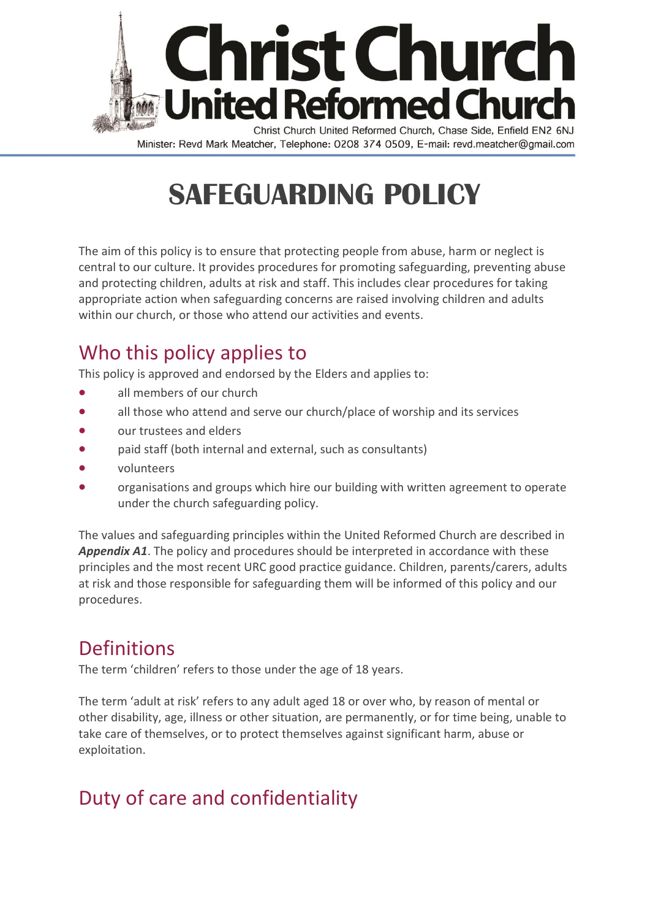

Minister: Revd Mark Meatcher, Telephone: 0208 374 0509, E-mail: revd.meatcher@gmail.com

# **SAFEGUARDING POLICY**

The aim of this policy is to ensure that protecting people from abuse, harm or neglect is central to our culture. It provides procedures for promoting safeguarding, preventing abuse and protecting children, adults at risk and staff. This includes clear procedures for taking appropriate action when safeguarding concerns are raised involving children and adults within our church, or those who attend our activities and events.

## Who this policy applies to

This policy is approved and endorsed by the Elders and applies to:

- all members of our church
- all those who attend and serve our church/place of worship and its services
- our trustees and elders
- paid staff (both internal and external, such as consultants)
- volunteers
- organisations and groups which hire our building with written agreement to operate under the church safeguarding policy.

The values and safeguarding principles within the United Reformed Church are described in *Appendix A1*. The policy and procedures should be interpreted in accordance with these principles and the most recent URC good practice guidance. Children, parents/carers, adults at risk and those responsible for safeguarding them will be informed of this policy and our procedures.

## Definitions

The term 'children' refers to those under the age of 18 years.

The term 'adult at risk' refers to any adult aged 18 or over who, by reason of mental or other disability, age, illness or other situation, are permanently, or for time being, unable to take care of themselves, or to protect themselves against significant harm, abuse or exploitation.

## Duty of care and confidentiality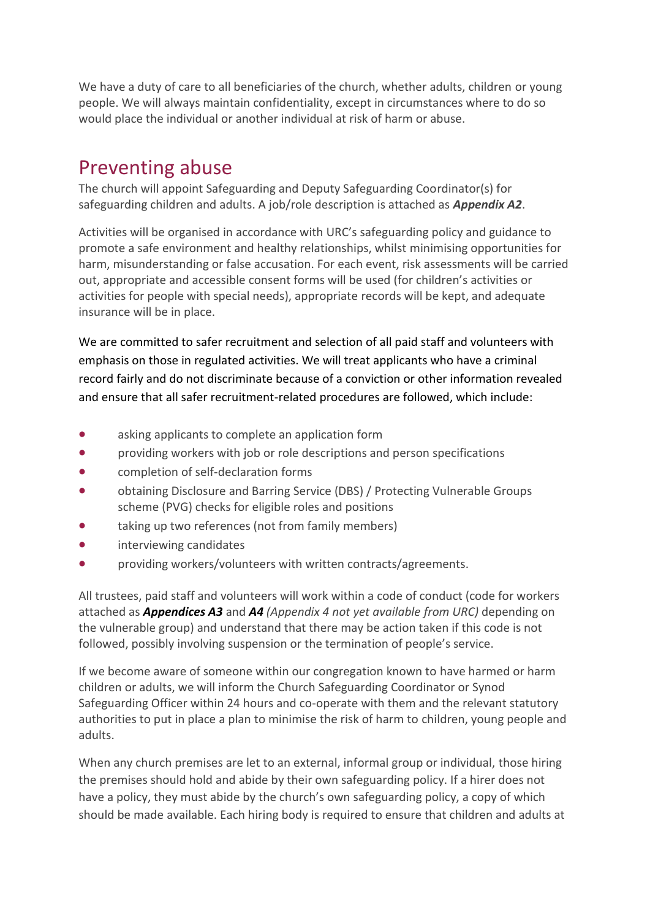We have a duty of care to all beneficiaries of the church, whether adults, children or young people. We will always maintain confidentiality, except in circumstances where to do so would place the individual or another individual at risk of harm or abuse.

## Preventing abuse

The church will appoint Safeguarding and Deputy Safeguarding Coordinator(s) for safeguarding children and adults. A job/role description is attached as *Appendix A2*.

Activities will be organised in accordance with URC's safeguarding policy and guidance to promote a safe environment and healthy relationships, whilst minimising opportunities for harm, misunderstanding or false accusation. For each event, risk assessments will be carried out, appropriate and accessible consent forms will be used (for children's activities or activities for people with special needs), appropriate records will be kept, and adequate insurance will be in place.

We are committed to safer recruitment and selection of all paid staff and volunteers with emphasis on those in regulated activities. We will treat applicants who have a criminal record fairly and do not discriminate because of a conviction or other information revealed and ensure that all safer recruitment-related procedures are followed, which include:

- asking applicants to complete an application form
- providing workers with job or role descriptions and person specifications
- completion of self-declaration forms
- obtaining Disclosure and Barring Service (DBS) / Protecting Vulnerable Groups scheme (PVG) checks for eligible roles and positions
- taking up two references (not from family members)
- interviewing candidates
- providing workers/volunteers with written contracts/agreements.

All trustees, paid staff and volunteers will work within a code of conduct (code for workers attached as *Appendices A3* and *A4 (Appendix 4 not yet available from URC)* depending on the vulnerable group) and understand that there may be action taken if this code is not followed, possibly involving suspension or the termination of people's service.

If we become aware of someone within our congregation known to have harmed or harm children or adults, we will inform the Church Safeguarding Coordinator or Synod Safeguarding Officer within 24 hours and co-operate with them and the relevant statutory authorities to put in place a plan to minimise the risk of harm to children, young people and adults.

When any church premises are let to an external, informal group or individual, those hiring the premises should hold and abide by their own safeguarding policy. If a hirer does not have a policy, they must abide by the church's own safeguarding policy, a copy of which should be made available. Each hiring body is required to ensure that children and adults at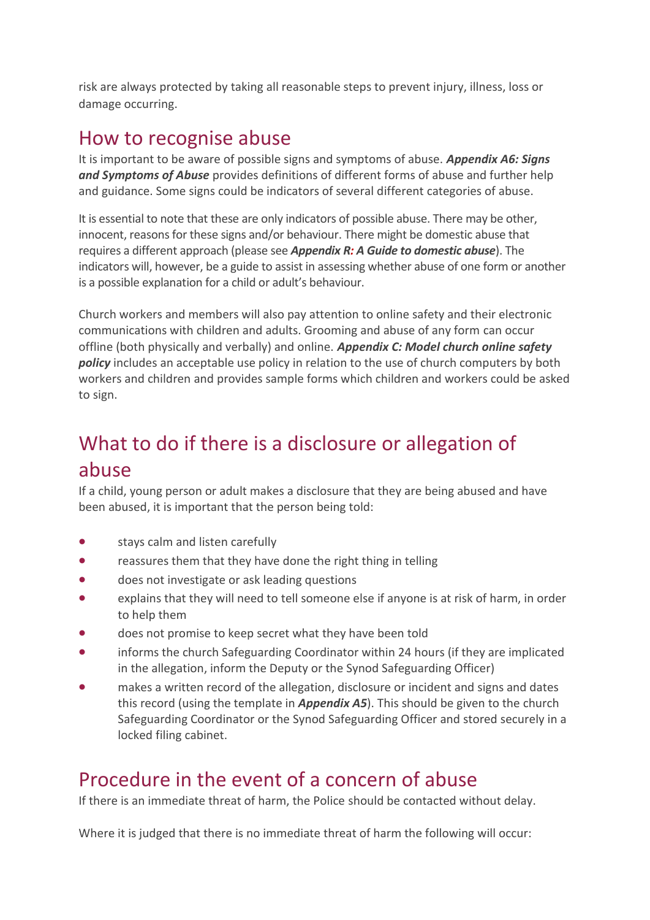risk are always protected by taking all reasonable steps to prevent injury, illness, loss or damage occurring.

## How to recognise abuse

It is important to be aware of possible signs and symptoms of abuse. *Appendix A6: Signs and Symptoms of Abuse* provides definitions of different forms of abuse and further help and guidance. Some signs could be indicators of several different categories of abuse.

It is essential to note that these are only indicators of possible abuse. There may be other, innocent, reasons for these signs and/or behaviour. There might be domestic abuse that requires a different approach (please see *Appendix R: A Guide to domestic abuse*). The indicators will, however, be a guide to assist in assessing whether abuse of one form or another is a possible explanation for a child or adult's behaviour.

Church workers and members will also pay attention to online safety and their electronic communications with children and adults. Grooming and abuse of any form can occur offline (both physically and verbally) and online. *Appendix C: Model church online safety policy* includes an acceptable use policy in relation to the use of church computers by both workers and children and provides sample forms which children and workers could be asked to sign.

# What to do if there is a disclosure or allegation of abuse

If a child, young person or adult makes a disclosure that they are being abused and have been abused, it is important that the person being told:

- stays calm and listen carefully
- reassures them that they have done the right thing in telling
- does not investigate or ask leading questions
- explains that they will need to tell someone else if anyone is at risk of harm, in order to help them
- does not promise to keep secret what they have been told
- informs the church Safeguarding Coordinator within 24 hours (if they are implicated in the allegation, inform the Deputy or the Synod Safeguarding Officer)
- makes a written record of the allegation, disclosure or incident and signs and dates this record (using the template in *Appendix A5*). This should be given to the church Safeguarding Coordinator or the Synod Safeguarding Officer and stored securely in a locked filing cabinet.

## Procedure in the event of a concern of abuse

If there is an immediate threat of harm, the Police should be contacted without delay.

Where it is judged that there is no immediate threat of harm the following will occur: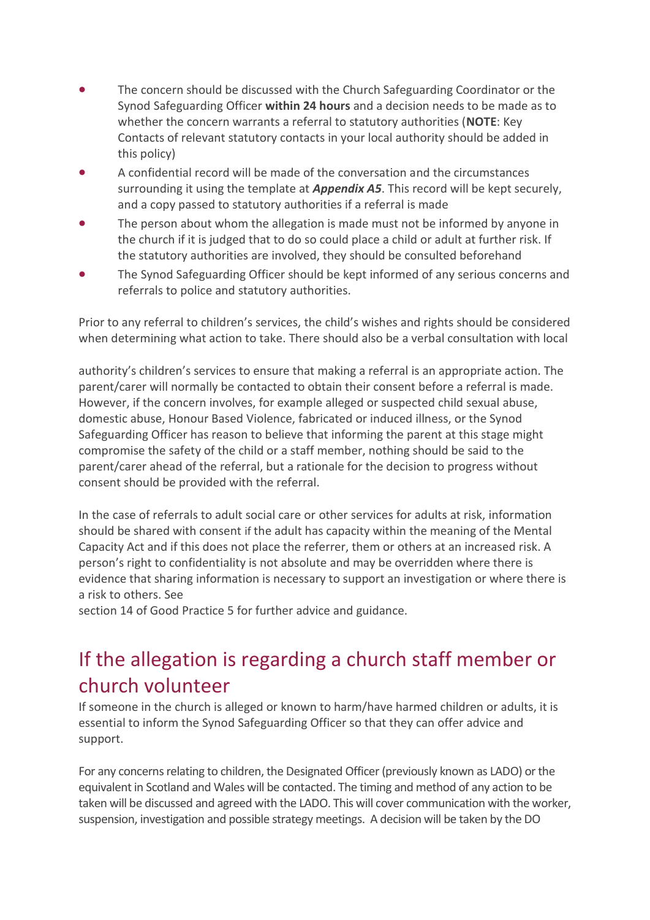- The concern should be discussed with the Church Safeguarding Coordinator or the Synod Safeguarding Officer **within 24 hours** and a decision needs to be made as to whether the concern warrants a referral to statutory authorities (**NOTE**: Key Contacts of relevant statutory contacts in your local authority should be added in this policy)
- A confidential record will be made of the conversation and the circumstances surrounding it using the template at *Appendix A5*. This record will be kept securely, and a copy passed to statutory authorities if a referral is made
- The person about whom the allegation is made must not be informed by anyone in the church if it is judged that to do so could place a child or adult at further risk. If the statutory authorities are involved, they should be consulted beforehand
- The Synod Safeguarding Officer should be kept informed of any serious concerns and referrals to police and statutory authorities.

Prior to any referral to children's services, the child's wishes and rights should be considered when determining what action to take. There should also be a verbal consultation with local

authority's children's services to ensure that making a referral is an appropriate action. The parent/carer will normally be contacted to obtain their consent before a referral is made. However, if the concern involves, for example alleged or suspected child sexual abuse, domestic abuse, Honour Based Violence, fabricated or induced illness, or the Synod Safeguarding Officer has reason to believe that informing the parent at this stage might compromise the safety of the child or a staff member, nothing should be said to the parent/carer ahead of the referral, but a rationale for the decision to progress without consent should be provided with the referral.

In the case of referrals to adult social care or other services for adults at risk, information should be shared with consent if the adult has capacity within the meaning of the Mental Capacity Act and if this does not place the referrer, them or others at an increased risk. A person's right to confidentiality is not absolute and may be overridden where there is evidence that sharing information is necessary to support an investigation or where there is a risk to others. See

section 14 of Good Practice 5 for further advice and guidance.

## If the allegation is regarding a church staff member or church volunteer

If someone in the church is alleged or known to harm/have harmed children or adults, it is essential to inform the Synod Safeguarding Officer so that they can offer advice and support.

For any concerns relating to children, the Designated Officer (previously known as LADO) or the equivalent in Scotland and Wales will be contacted. The timing and method of any action to be taken will be discussed and agreed with the LADO. This will cover communication with the worker, suspension, investigation and possible strategy meetings. A decision will be taken by the DO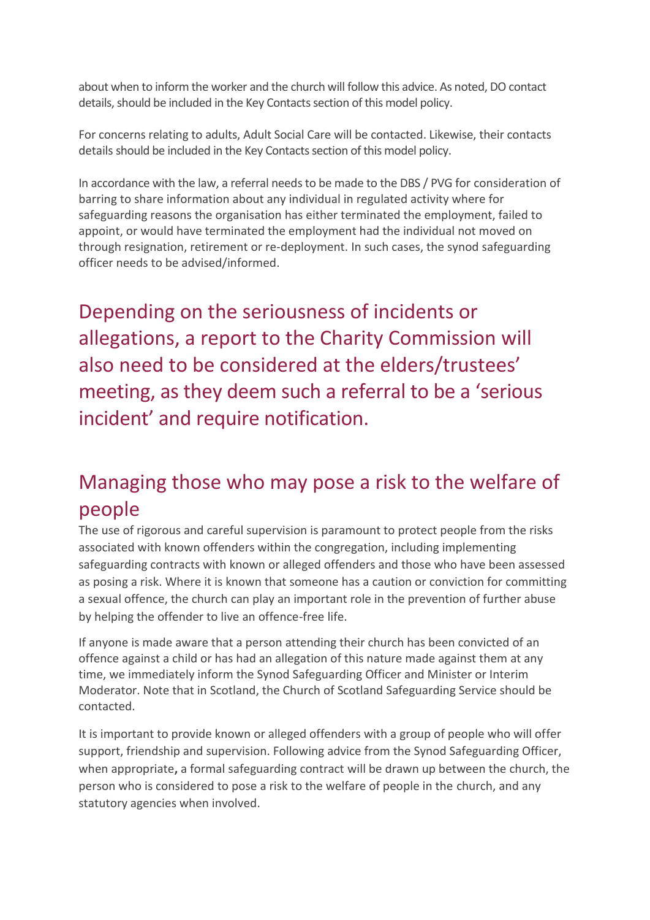about when to inform the worker and the church will follow this advice. As noted, DO contact details, should be included in the Key Contacts section of this model policy.

For concerns relating to adults, Adult Social Care will be contacted. Likewise, their contacts details should be included in the Key Contacts section of this model policy.

In accordance with the law, a referral needs to be made to the DBS / PVG for consideration of barring to share information about any individual in regulated activity where for safeguarding reasons the organisation has either terminated the employment, failed to appoint, or would have terminated the employment had the individual not moved on through resignation, retirement or re-deployment. In such cases, the synod safeguarding officer needs to be advised/informed.

Depending on the seriousness of incidents or allegations, a report to the Charity Commission will also need to be considered at the elders/trustees' meeting, as they deem such a referral to be a 'serious incident' and require notification.

## Managing those who may pose a risk to the welfare of people

The use of rigorous and careful supervision is paramount to protect people from the risks associated with known offenders within the congregation, including implementing safeguarding contracts with known or alleged offenders and those who have been assessed as posing a risk. Where it is known that someone has a caution or conviction for committing a sexual offence, the church can play an important role in the prevention of further abuse by helping the offender to live an offence-free life.

If anyone is made aware that a person attending their church has been convicted of an offence against a child or has had an allegation of this nature made against them at any time, we immediately inform the Synod Safeguarding Officer and Minister or Interim Moderator. Note that in Scotland, the Church of Scotland Safeguarding Service should be contacted.

It is important to provide known or alleged offenders with a group of people who will offer support, friendship and supervision. Following advice from the Synod Safeguarding Officer, when appropriate**,** a formal safeguarding contract will be drawn up between the church, the person who is considered to pose a risk to the welfare of people in the church, and any statutory agencies when involved.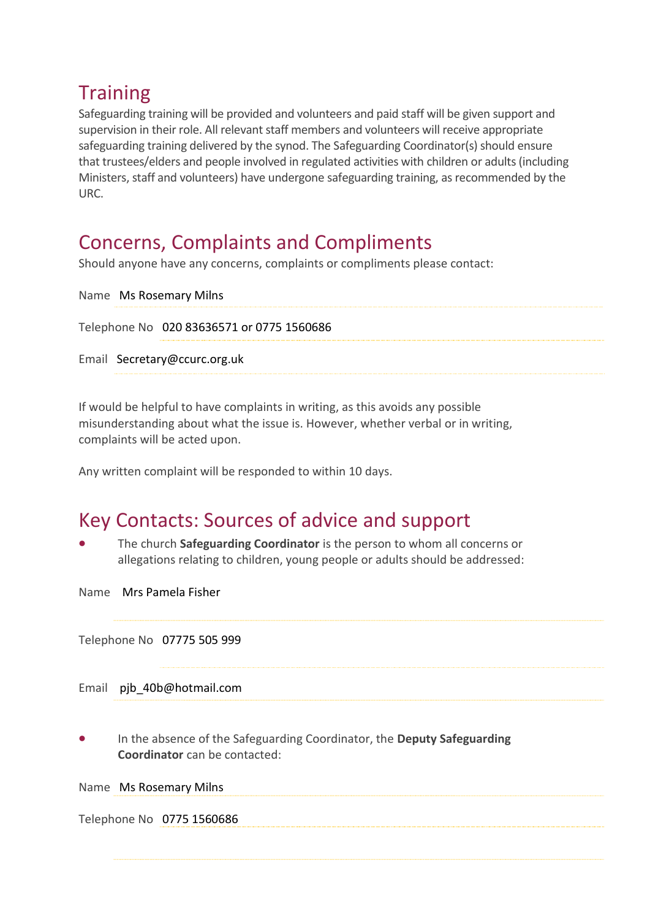## **Training**

Safeguarding training will be provided and volunteers and paid staff will be given support and supervision in their role. All relevant staff members and volunteers will receive appropriate safeguarding training delivered by the synod. The Safeguarding Coordinator(s) should ensure that trustees/elders and people involved in regulated activities with children or adults (including Ministers, staff and volunteers) have undergone safeguarding training, as recommended by the URC.

## Concerns, Complaints and Compliments

Should anyone have any concerns, complaints or compliments please contact:

```
Name Ms Rosemary Milns
Telephone No 020 83636571 or 0775 1560686
Email Secretary@ccurc.org.uk
```
If would be helpful to have complaints in writing, as this avoids any possible misunderstanding about what the issue is. However, whether verbal or in writing, complaints will be acted upon.

Any written complaint will be responded to within 10 days.

## Key Contacts: Sources of advice and support

- The church **Safeguarding Coordinator** is the person to whom all concerns or allegations relating to children, young people or adults should be addressed:
- Name Mrs Pamela Fisher

Telephone No 07775 505 999

Email pjb\_40b@hotmail.com

• In the absence of the Safeguarding Coordinator, the **Deputy Safeguarding Coordinator** can be contacted:

Name Ms Rosemary Milns

Telephone No 0775 1560686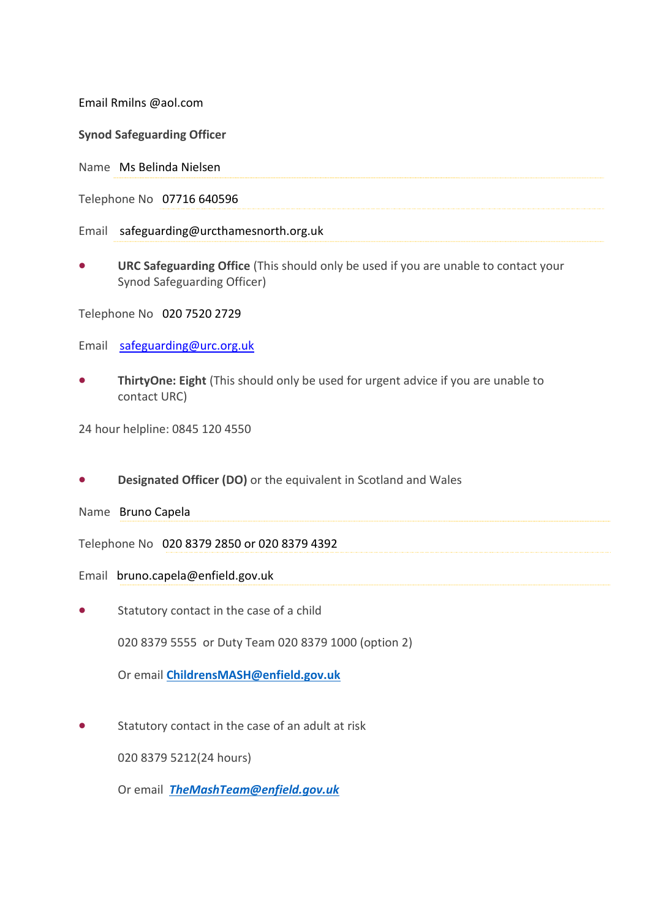Email Rmilns @aol.com

**Synod Safeguarding Officer** 

Name Ms Belinda Nielsen

Telephone No 07716 640596

Email safeguarding@urcthamesnorth.org.uk

• **URC Safeguarding Office** (This should only be used if you are unable to contact your Synod Safeguarding Officer)

Telephone No 020 7520 2729

Email [safeguarding@urc.org.uk](mailto:safegaurding@urc.org.uk)

• **ThirtyOne: Eight** (This should only be used for urgent advice if you are unable to contact URC)

24 hour helpline: 0845 120 4550

• **Designated Officer (DO)** or the equivalent in Scotland and Wales

Name Bruno Capela

Telephone No 020 8379 2850 or 020 8379 4392

Email bruno.capela@enfield.gov.uk

Statutory contact in the case of a child

020 8379 5555 or Duty Team 020 8379 1000 (option 2)

Or email **[ChildrensMASH@enfield.gov.uk](mailto:ChildrensMASH@enfield.gov.uk)**

Statutory contact in the case of an adult at risk

020 8379 5212(24 hours)

Or email *[TheMashTeam@enfield.gov.uk](mailto:TheMashTeam@enfield.gov.uk)*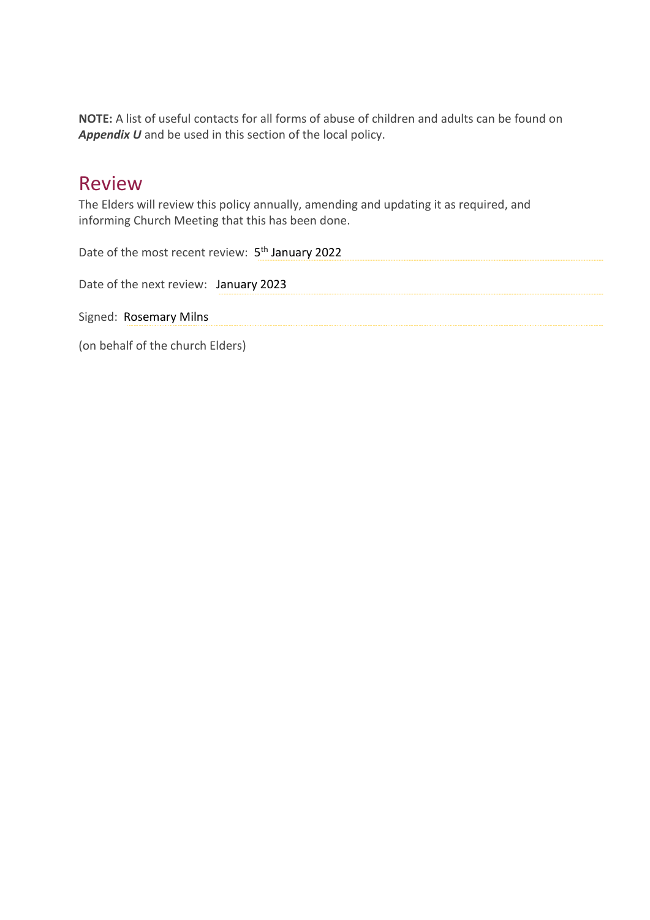**NOTE:** A list of useful contacts for all forms of abuse of children and adults can be found on *Appendix U* and be used in this section of the local policy.

### Review

The Elders will review this policy annually, amending and updating it as required, and informing Church Meeting that this has been done.

Date of the most recent review: 5<sup>th</sup> January 2022

Date of the next review: January 2023

Signed: Rosemary Milns

(on behalf of the church Elders)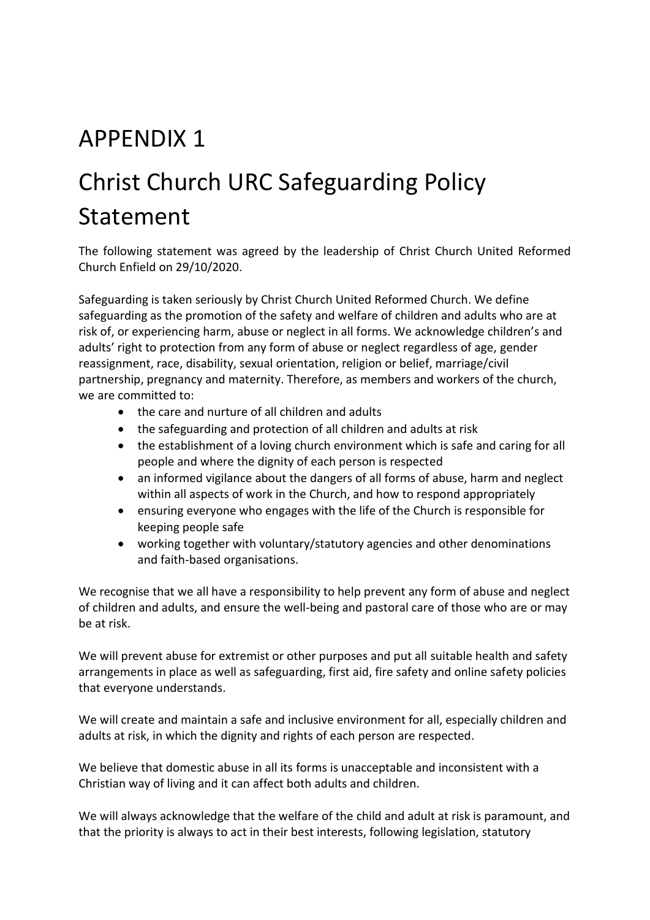# APPENDIX 1

# Christ Church URC Safeguarding Policy Statement

The following statement was agreed by the leadership of Christ Church United Reformed Church Enfield on 29/10/2020.

Safeguarding is taken seriously by Christ Church United Reformed Church. We define safeguarding as the promotion of the safety and welfare of children and adults who are at risk of, or experiencing harm, abuse or neglect in all forms. We acknowledge children's and adults' right to protection from any form of abuse or neglect regardless of age, gender reassignment, race, disability, sexual orientation, religion or belief, marriage/civil partnership, pregnancy and maternity. Therefore, as members and workers of the church, we are committed to:

- the care and nurture of all children and adults
- the safeguarding and protection of all children and adults at risk
- the establishment of a loving church environment which is safe and caring for all people and where the dignity of each person is respected
- an informed vigilance about the dangers of all forms of abuse, harm and neglect within all aspects of work in the Church, and how to respond appropriately
- ensuring everyone who engages with the life of the Church is responsible for keeping people safe
- working together with voluntary/statutory agencies and other denominations and faith-based organisations.

We recognise that we all have a responsibility to help prevent any form of abuse and neglect of children and adults, and ensure the well-being and pastoral care of those who are or may be at risk.

We will prevent abuse for extremist or other purposes and put all suitable health and safety arrangements in place as well as safeguarding, first aid, fire safety and online safety policies that everyone understands.

We will create and maintain a safe and inclusive environment for all, especially children and adults at risk, in which the dignity and rights of each person are respected.

We believe that domestic abuse in all its forms is unacceptable and inconsistent with a Christian way of living and it can affect both adults and children.

We will always acknowledge that the welfare of the child and adult at risk is paramount, and that the priority is always to act in their best interests, following legislation, statutory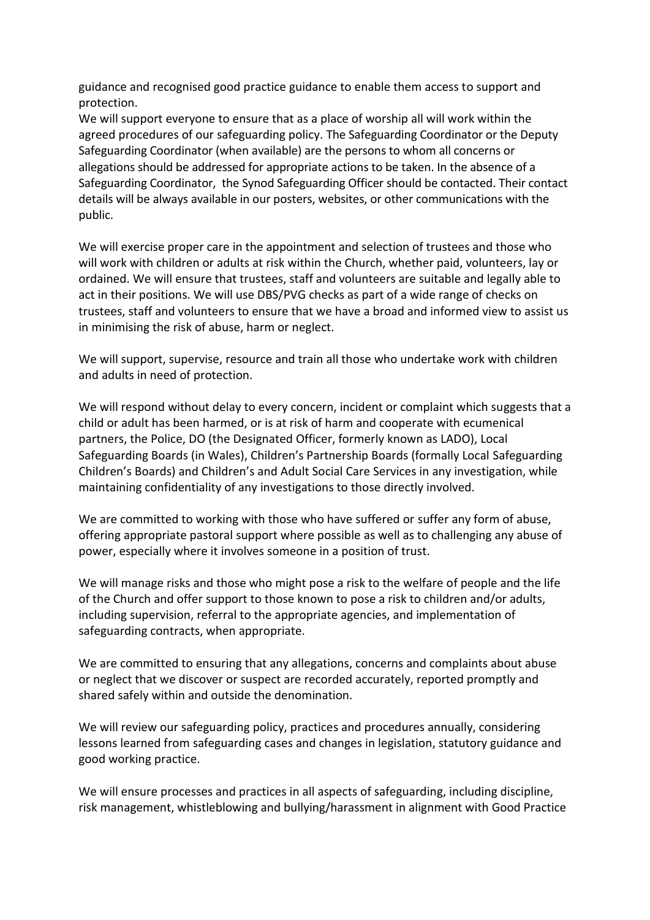guidance and recognised good practice guidance to enable them access to support and protection.

We will support everyone to ensure that as a place of worship all will work within the agreed procedures of our safeguarding policy. The Safeguarding Coordinator or the Deputy Safeguarding Coordinator (when available) are the persons to whom all concerns or allegations should be addressed for appropriate actions to be taken. In the absence of a Safeguarding Coordinator, the Synod Safeguarding Officer should be contacted. Their contact details will be always available in our posters, websites, or other communications with the public.

We will exercise proper care in the appointment and selection of trustees and those who will work with children or adults at risk within the Church, whether paid, volunteers, lay or ordained. We will ensure that trustees, staff and volunteers are suitable and legally able to act in their positions. We will use DBS/PVG checks as part of a wide range of checks on trustees, staff and volunteers to ensure that we have a broad and informed view to assist us in minimising the risk of abuse, harm or neglect.

We will support, supervise, resource and train all those who undertake work with children and adults in need of protection.

We will respond without delay to every concern, incident or complaint which suggests that a child or adult has been harmed, or is at risk of harm and cooperate with ecumenical partners, the Police, DO (the Designated Officer, formerly known as LADO), Local Safeguarding Boards (in Wales), Children's Partnership Boards (formally Local Safeguarding Children's Boards) and Children's and Adult Social Care Services in any investigation, while maintaining confidentiality of any investigations to those directly involved.

We are committed to working with those who have suffered or suffer any form of abuse, offering appropriate pastoral support where possible as well as to challenging any abuse of power, especially where it involves someone in a position of trust.

We will manage risks and those who might pose a risk to the welfare of people and the life of the Church and offer support to those known to pose a risk to children and/or adults, including supervision, referral to the appropriate agencies, and implementation of safeguarding contracts, when appropriate.

We are committed to ensuring that any allegations, concerns and complaints about abuse or neglect that we discover or suspect are recorded accurately, reported promptly and shared safely within and outside the denomination.

We will review our safeguarding policy, practices and procedures annually, considering lessons learned from safeguarding cases and changes in legislation, statutory guidance and good working practice.

We will ensure processes and practices in all aspects of safeguarding, including discipline, risk management, whistleblowing and bullying/harassment in alignment with Good Practice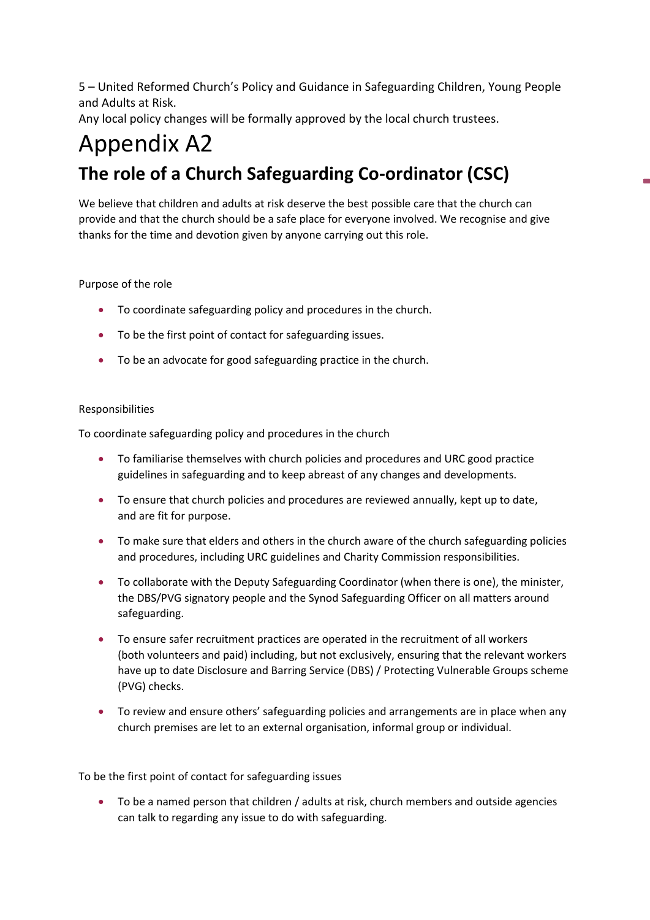5 – United Reformed Church's Policy and Guidance in Safeguarding Children, Young People and Adults at Risk.

Any local policy changes will be formally approved by the local church trustees.

# Appendix A2 **The role of a Church Safeguarding Co-ordinator (CSC)**

We believe that children and adults at risk deserve the best possible care that the church can provide and that the church should be a safe place for everyone involved. We recognise and give thanks for the time and devotion given by anyone carrying out this role.

#### Purpose of the role

- To coordinate safeguarding policy and procedures in the church.
- To be the first point of contact for safeguarding issues.
- To be an advocate for good safeguarding practice in the church.

#### Responsibilities

To coordinate safeguarding policy and procedures in the church

- To familiarise themselves with church policies and procedures and URC good practice guidelines in safeguarding and to keep abreast of any changes and developments.
- To ensure that church policies and procedures are reviewed annually, kept up to date, and are fit for purpose.
- To make sure that elders and others in the church aware of the church safeguarding policies and procedures, including URC guidelines and Charity Commission responsibilities.
- To collaborate with the Deputy Safeguarding Coordinator (when there is one), the minister, the DBS/PVG signatory people and the Synod Safeguarding Officer on all matters around safeguarding.
- To ensure safer recruitment practices are operated in the recruitment of all workers (both volunteers and paid) including, but not exclusively, ensuring that the relevant workers have up to date Disclosure and Barring Service (DBS) / Protecting Vulnerable Groups scheme (PVG) checks.
- To review and ensure others' safeguarding policies and arrangements are in place when any church premises are let to an external organisation, informal group or individual.

To be the first point of contact for safeguarding issues

• To be a named person that children / adults at risk, church members and outside agencies can talk to regarding any issue to do with safeguarding.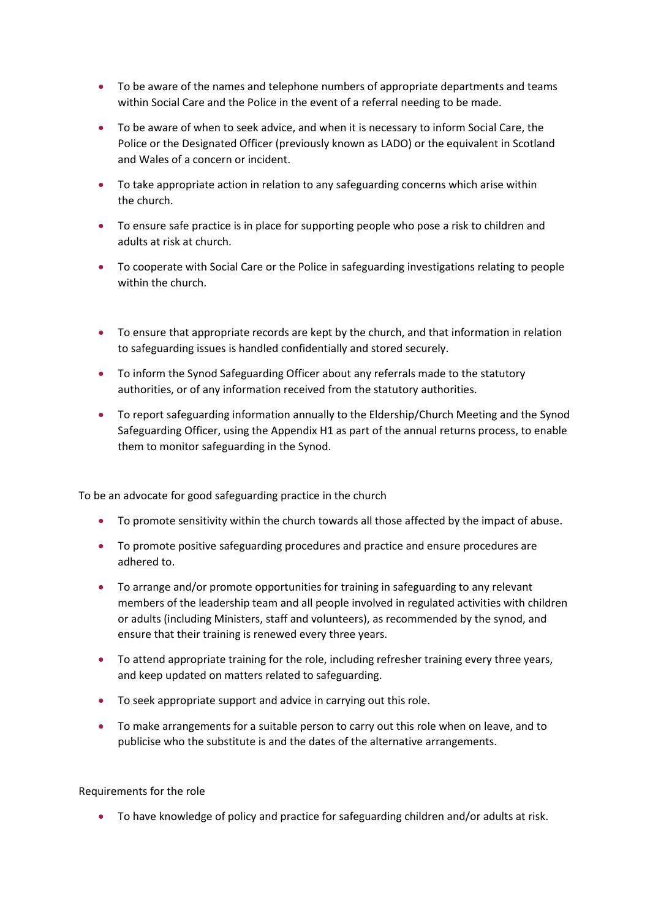- To be aware of the names and telephone numbers of appropriate departments and teams within Social Care and the Police in the event of a referral needing to be made.
- To be aware of when to seek advice, and when it is necessary to inform Social Care, the Police or the Designated Officer (previously known as LADO) or the equivalent in Scotland and Wales of a concern or incident.
- To take appropriate action in relation to any safeguarding concerns which arise within the church.
- To ensure safe practice is in place for supporting people who pose a risk to children and adults at risk at church.
- To cooperate with Social Care or the Police in safeguarding investigations relating to people within the church.
- To ensure that appropriate records are kept by the church, and that information in relation to safeguarding issues is handled confidentially and stored securely.
- To inform the Synod Safeguarding Officer about any referrals made to the statutory authorities, or of any information received from the statutory authorities.
- To report safeguarding information annually to the Eldership/Church Meeting and the Synod Safeguarding Officer, using the Appendix H1 as part of the annual returns process, to enable them to monitor safeguarding in the Synod.

To be an advocate for good safeguarding practice in the church

- To promote sensitivity within the church towards all those affected by the impact of abuse.
- To promote positive safeguarding procedures and practice and ensure procedures are adhered to.
- To arrange and/or promote opportunities for training in safeguarding to any relevant members of the leadership team and all people involved in regulated activities with children or adults (including Ministers, staff and volunteers), as recommended by the synod, and ensure that their training is renewed every three years.
- To attend appropriate training for the role, including refresher training every three years, and keep updated on matters related to safeguarding.
- To seek appropriate support and advice in carrying out this role.
- To make arrangements for a suitable person to carry out this role when on leave, and to publicise who the substitute is and the dates of the alternative arrangements.

Requirements for the role

• To have knowledge of policy and practice for safeguarding children and/or adults at risk.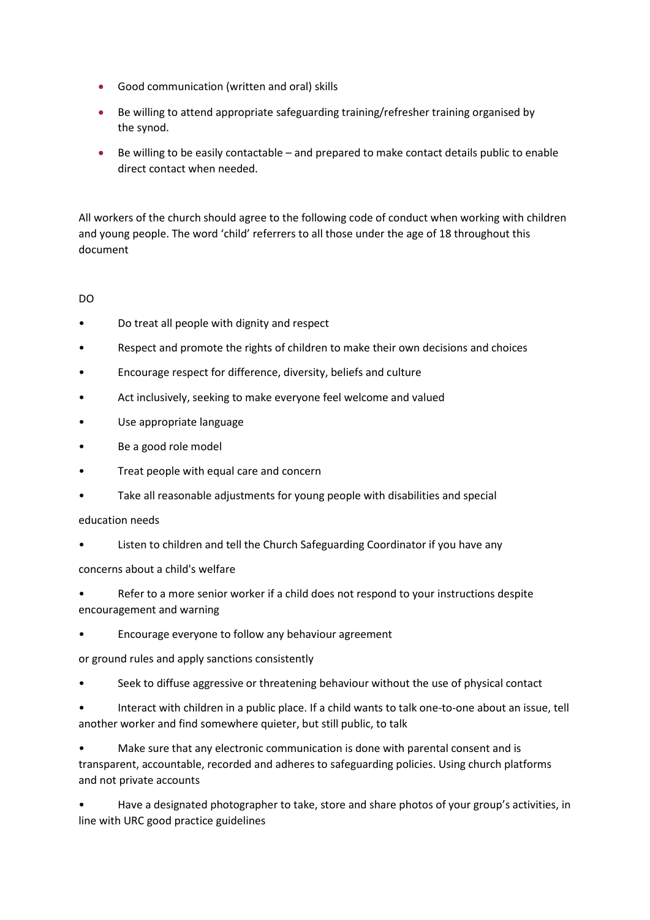- Good communication (written and oral) skills
- Be willing to attend appropriate safeguarding training/refresher training organised by the synod.
- Be willing to be easily contactable and prepared to make contact details public to enable direct contact when needed.

All workers of the church should agree to the following code of conduct when working with children and young people. The word 'child' referrers to all those under the age of 18 throughout this document

#### DO

- Do treat all people with dignity and respect
- Respect and promote the rights of children to make their own decisions and choices
- Encourage respect for difference, diversity, beliefs and culture
- Act inclusively, seeking to make everyone feel welcome and valued
- Use appropriate language
- Be a good role model
- Treat people with equal care and concern
- Take all reasonable adjustments for young people with disabilities and special

#### education needs

Listen to children and tell the Church Safeguarding Coordinator if you have any

#### concerns about a child's welfare

- Refer to a more senior worker if a child does not respond to your instructions despite encouragement and warning
- Encourage everyone to follow any behaviour agreement
- or ground rules and apply sanctions consistently
- Seek to diffuse aggressive or threatening behaviour without the use of physical contact
- Interact with children in a public place. If a child wants to talk one-to-one about an issue, tell another worker and find somewhere quieter, but still public, to talk

• Make sure that any electronic communication is done with parental consent and is transparent, accountable, recorded and adheres to safeguarding policies. Using church platforms and not private accounts

• Have a designated photographer to take, store and share photos of your group's activities, in line with URC good practice guidelines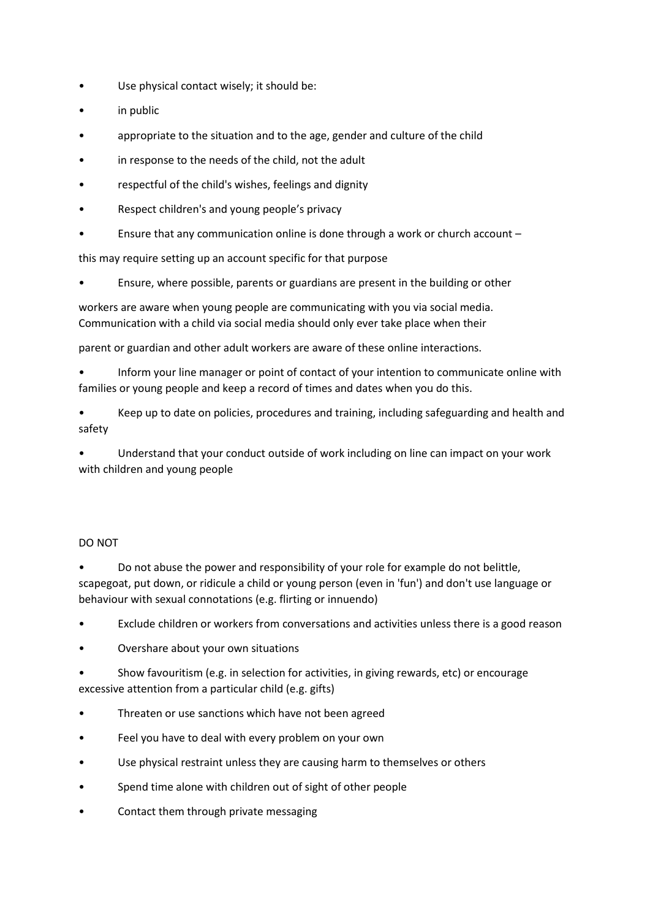- Use physical contact wisely; it should be:
- in public
- appropriate to the situation and to the age, gender and culture of the child
- in response to the needs of the child, not the adult
- respectful of the child's wishes, feelings and dignity
- Respect children's and young people's privacy
- Ensure that any communication online is done through a work or church account –

this may require setting up an account specific for that purpose

• Ensure, where possible, parents or guardians are present in the building or other

workers are aware when young people are communicating with you via social media. Communication with a child via social media should only ever take place when their

parent or guardian and other adult workers are aware of these online interactions.

• Inform your line manager or point of contact of your intention to communicate online with families or young people and keep a record of times and dates when you do this.

• Keep up to date on policies, procedures and training, including safeguarding and health and safety

• Understand that your conduct outside of work including on line can impact on your work with children and young people

#### DO NOT

• Do not abuse the power and responsibility of your role for example do not belittle, scapegoat, put down, or ridicule a child or young person (even in 'fun') and don't use language or behaviour with sexual connotations (e.g. flirting or innuendo)

- Exclude children or workers from conversations and activities unless there is a good reason
- Overshare about your own situations
- Show favouritism (e.g. in selection for activities, in giving rewards, etc) or encourage excessive attention from a particular child (e.g. gifts)
- Threaten or use sanctions which have not been agreed
- Feel you have to deal with every problem on your own
- Use physical restraint unless they are causing harm to themselves or others
- Spend time alone with children out of sight of other people
- Contact them through private messaging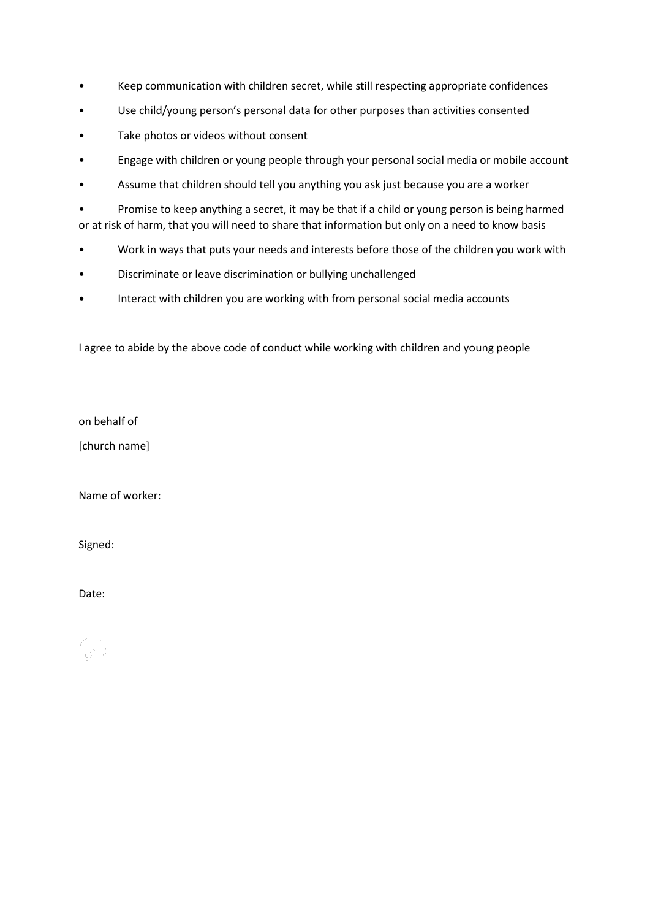- Keep communication with children secret, while still respecting appropriate confidences
- Use child/young person's personal data for other purposes than activities consented
- Take photos or videos without consent
- Engage with children or young people through your personal social media or mobile account
- Assume that children should tell you anything you ask just because you are a worker

• Promise to keep anything a secret, it may be that if a child or young person is being harmed or at risk of harm, that you will need to share that information but only on a need to know basis

- Work in ways that puts your needs and interests before those of the children you work with
- Discriminate or leave discrimination or bullying unchallenged
- Interact with children you are working with from personal social media accounts

I agree to abide by the above code of conduct while working with children and young people

on behalf of

[church name]

Name of worker:

Signed:

Date: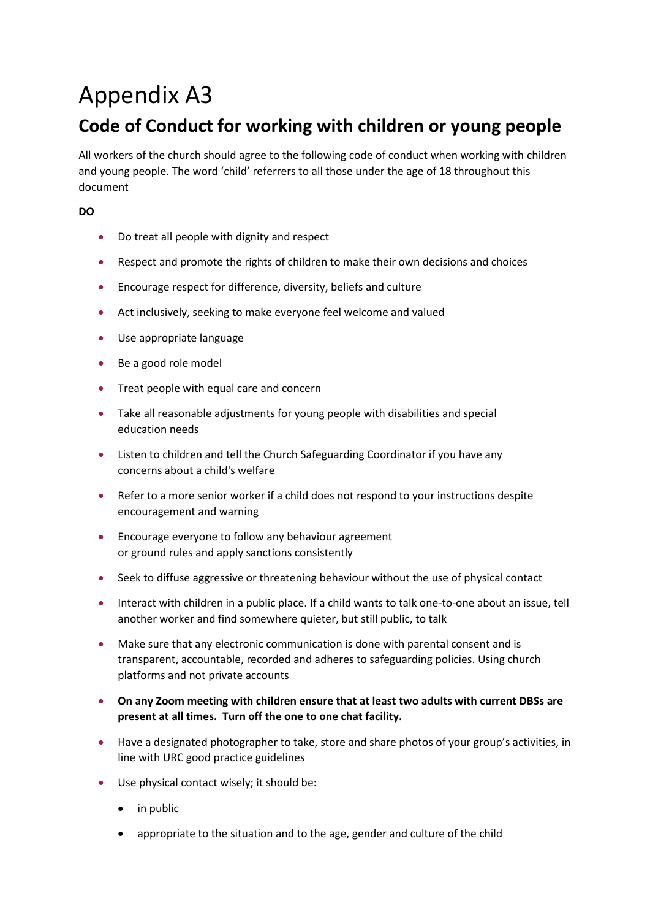# Appendix A3

## **Code of Conduct for working with children or young people**

All workers of the church should agree to the following code of conduct when working with children and young people. The word 'child' referrers to all those under the age of 18 throughout this document

#### **DO**

- Do treat all people with dignity and respect
- Respect and promote the rights of children to make their own decisions and choices
- Encourage respect for difference, diversity, beliefs and culture
- Act inclusively, seeking to make everyone feel welcome and valued
- Use appropriate language
- Be a good role model
- Treat people with equal care and concern
- Take all reasonable adjustments for young people with disabilities and special education needs
- Listen to children and tell the Church Safeguarding Coordinator if you have any concerns about a child's welfare
- Refer to a more senior worker if a child does not respond to your instructions despite encouragement and warning
- Encourage everyone to follow any behaviour agreement or ground rules and apply sanctions consistently
- Seek to diffuse aggressive or threatening behaviour without the use of physical contact
- Interact with children in a public place. If a child wants to talk one-to-one about an issue, tell another worker and find somewhere quieter, but still public, to talk
- Make sure that any electronic communication is done with parental consent and is transparent, accountable, recorded and adheres to safeguarding policies. Using church platforms and not private accounts
- **On any Zoom meeting with children ensure that at least two adults with current DBSs are present at all times. Turn off the one to one chat facility.**
- Have a designated photographer to take, store and share photos of your group's activities, in line with URC good practice guidelines
- Use physical contact wisely; it should be:
	- in public
	- appropriate to the situation and to the age, gender and culture of the child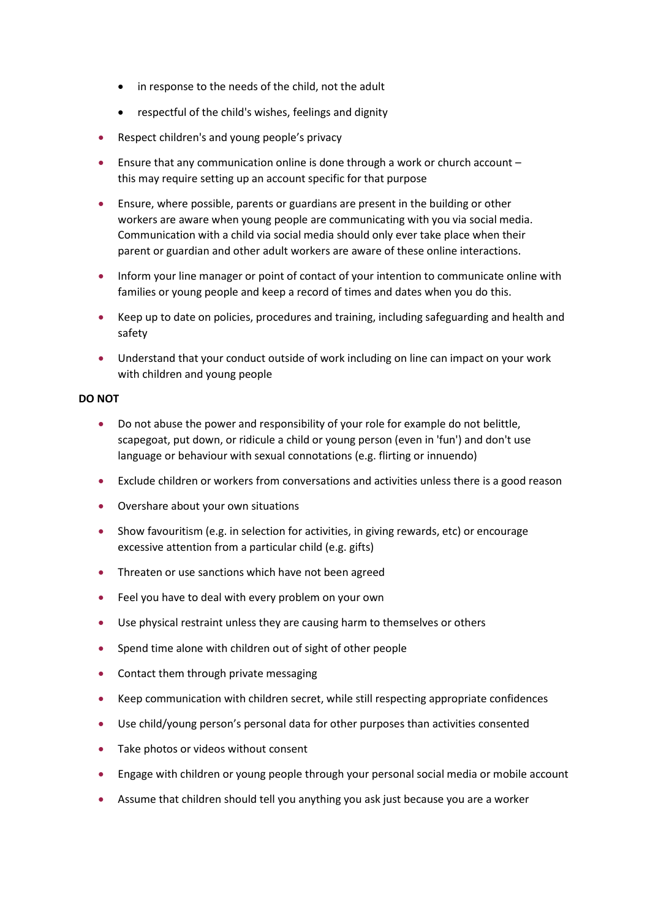- in response to the needs of the child, not the adult
- respectful of the child's wishes, feelings and dignity
- Respect children's and young people's privacy
- Ensure that any communication online is done through a work or church account this may require setting up an account specific for that purpose
- Ensure, where possible, parents or guardians are present in the building or other workers are aware when young people are communicating with you via social media. Communication with a child via social media should only ever take place when their parent or guardian and other adult workers are aware of these online interactions.
- Inform your line manager or point of contact of your intention to communicate online with families or young people and keep a record of times and dates when you do this.
- Keep up to date on policies, procedures and training, including safeguarding and health and safety
- Understand that your conduct outside of work including on line can impact on your work with children and young people

#### **DO NOT**

- Do not abuse the power and responsibility of your role for example do not belittle, scapegoat, put down, or ridicule a child or young person (even in 'fun') and don't use language or behaviour with sexual connotations (e.g. flirting or innuendo)
- Exclude children or workers from conversations and activities unless there is a good reason
- Overshare about your own situations
- Show favouritism (e.g. in selection for activities, in giving rewards, etc) or encourage excessive attention from a particular child (e.g. gifts)
- Threaten or use sanctions which have not been agreed
- Feel you have to deal with every problem on your own
- Use physical restraint unless they are causing harm to themselves or others
- Spend time alone with children out of sight of other people
- Contact them through private messaging
- Keep communication with children secret, while still respecting appropriate confidences
- Use child/young person's personal data for other purposes than activities consented
- Take photos or videos without consent
- Engage with children or young people through your personal social media or mobile account
- Assume that children should tell you anything you ask just because you are a worker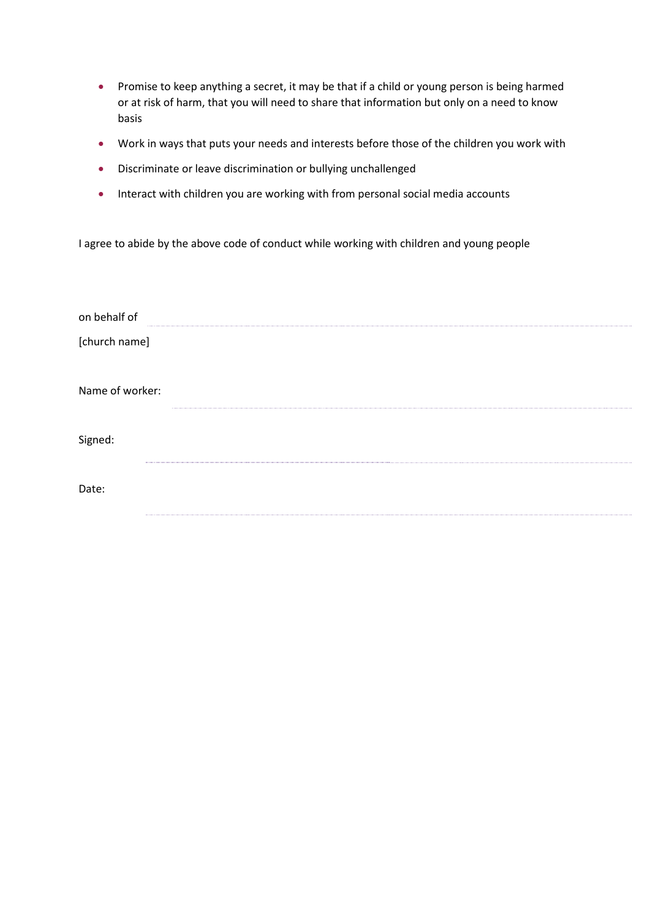- Promise to keep anything a secret, it may be that if a child or young person is being harmed or at risk of harm, that you will need to share that information but only on a need to know basis
- Work in ways that puts your needs and interests before those of the children you work with
- Discriminate or leave discrimination or bullying unchallenged
- Interact with children you are working with from personal social media accounts

I agree to abide by the above code of conduct while working with children and young people

| on behalf of    |  |
|-----------------|--|
| [church name]   |  |
| Name of worker: |  |
| Signed:         |  |
| Date:           |  |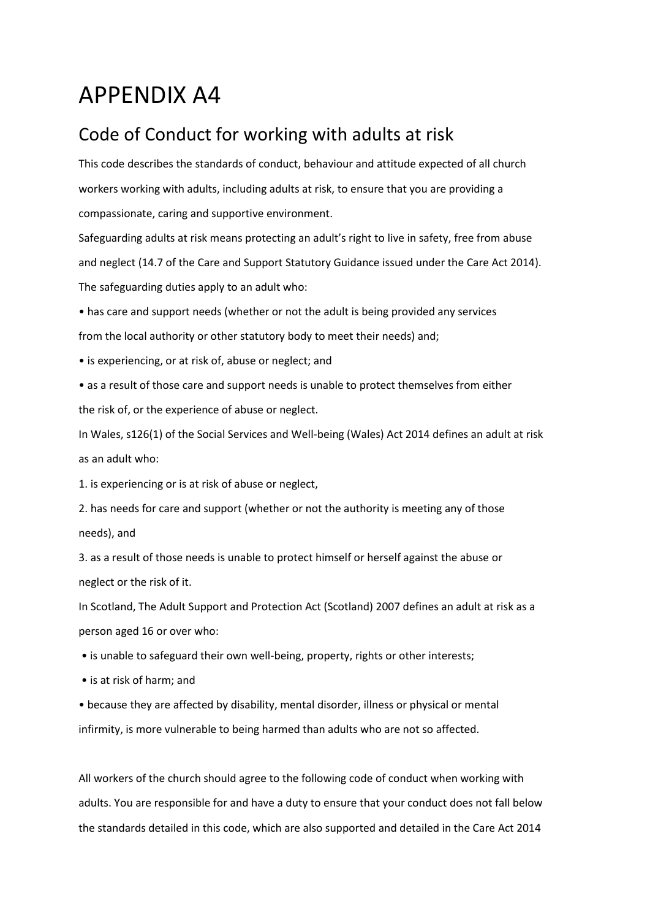## APPENDIX A4

### Code of Conduct for working with adults at risk

This code describes the standards of conduct, behaviour and attitude expected of all church workers working with adults, including adults at risk, to ensure that you are providing a compassionate, caring and supportive environment.

Safeguarding adults at risk means protecting an adult's right to live in safety, free from abuse and neglect (14.7 of the Care and Support Statutory Guidance issued under the Care Act 2014). The safeguarding duties apply to an adult who:

• has care and support needs (whether or not the adult is being provided any services

from the local authority or other statutory body to meet their needs) and;

• is experiencing, or at risk of, abuse or neglect; and

• as a result of those care and support needs is unable to protect themselves from either the risk of, or the experience of abuse or neglect.

In Wales, s126(1) of the Social Services and Well-being (Wales) Act 2014 defines an adult at risk as an adult who:

1. is experiencing or is at risk of abuse or neglect,

2. has needs for care and support (whether or not the authority is meeting any of those needs), and

3. as a result of those needs is unable to protect himself or herself against the abuse or neglect or the risk of it.

In Scotland, The Adult Support and Protection Act (Scotland) 2007 defines an adult at risk as a person aged 16 or over who:

• is unable to safeguard their own well-being, property, rights or other interests;

• is at risk of harm; and

• because they are affected by disability, mental disorder, illness or physical or mental infirmity, is more vulnerable to being harmed than adults who are not so affected.

All workers of the church should agree to the following code of conduct when working with adults. You are responsible for and have a duty to ensure that your conduct does not fall below the standards detailed in this code, which are also supported and detailed in the Care Act 2014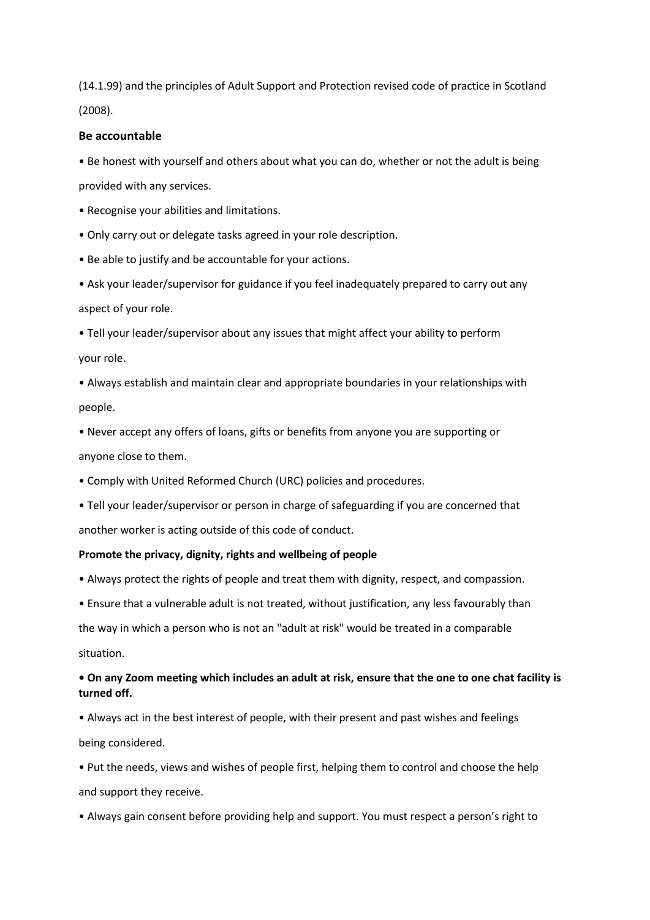(14.1.99) and the principles of Adult Support and Protection revised code of practice in Scotland (2008).

#### **Be accountable**

• Be honest with yourself and others about what you can do, whether or not the adult is being provided with any services.

• Recognise your abilities and limitations.

• Only carry out or delegate tasks agreed in your role description.

• Be able to justify and be accountable for your actions.

• Ask your leader/supervisor for guidance if you feel inadequately prepared to carry out any aspect of your role.

• Tell your leader/supervisor about any issues that might affect your ability to perform your role.

• Always establish and maintain clear and appropriate boundaries in your relationships with people.

• Never accept any offers of loans, gifts or benefits from anyone you are supporting or anyone close to them.

- Comply with United Reformed Church (URC) policies and procedures.
- Tell your leader/supervisor or person in charge of safeguarding if you are concerned that another worker is acting outside of this code of conduct.

#### **Promote the privacy, dignity, rights and wellbeing of people**

- Always protect the rights of people and treat them with dignity, respect, and compassion.
- Ensure that a vulnerable adult is not treated, without justification, any less favourably than

the way in which a person who is not an "adult at risk" would be treated in a comparable situation.

#### **• On any Zoom meeting which includes an adult at risk, ensure that the one to one chat facility is turned off.**

• Always act in the best interest of people, with their present and past wishes and feelings being considered.

• Put the needs, views and wishes of people first, helping them to control and choose the help and support they receive.

• Always gain consent before providing help and support. You must respect a person's right to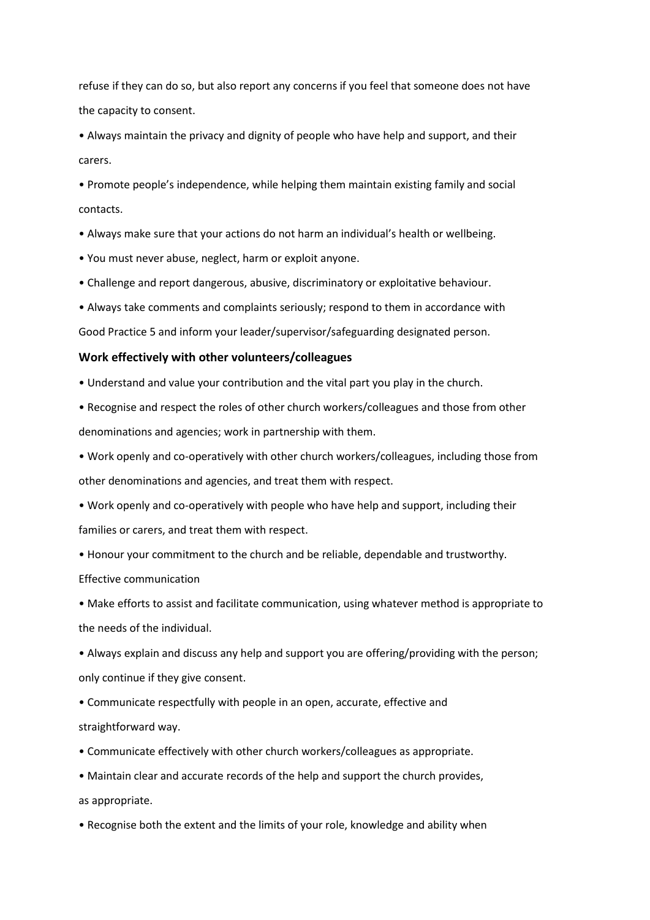refuse if they can do so, but also report any concerns if you feel that someone does not have the capacity to consent.

• Always maintain the privacy and dignity of people who have help and support, and their carers.

• Promote people's independence, while helping them maintain existing family and social contacts.

- Always make sure that your actions do not harm an individual's health or wellbeing.
- You must never abuse, neglect, harm or exploit anyone.
- Challenge and report dangerous, abusive, discriminatory or exploitative behaviour.
- Always take comments and complaints seriously; respond to them in accordance with

Good Practice 5 and inform your leader/supervisor/safeguarding designated person.

#### **Work effectively with other volunteers/colleagues**

• Understand and value your contribution and the vital part you play in the church.

• Recognise and respect the roles of other church workers/colleagues and those from other denominations and agencies; work in partnership with them.

• Work openly and co-operatively with other church workers/colleagues, including those from other denominations and agencies, and treat them with respect.

• Work openly and co-operatively with people who have help and support, including their families or carers, and treat them with respect.

• Honour your commitment to the church and be reliable, dependable and trustworthy.

Effective communication

• Make efforts to assist and facilitate communication, using whatever method is appropriate to the needs of the individual.

• Always explain and discuss any help and support you are offering/providing with the person; only continue if they give consent.

• Communicate respectfully with people in an open, accurate, effective and straightforward way.

- Communicate effectively with other church workers/colleagues as appropriate.
- Maintain clear and accurate records of the help and support the church provides, as appropriate.

• Recognise both the extent and the limits of your role, knowledge and ability when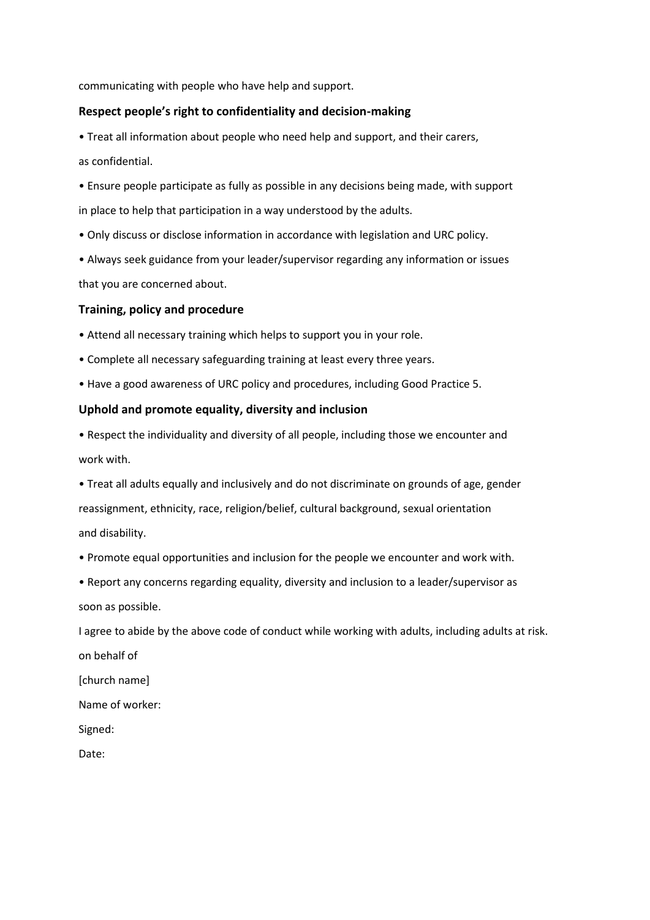communicating with people who have help and support.

#### **Respect people's right to confidentiality and decision-making**

• Treat all information about people who need help and support, and their carers, as confidential.

• Ensure people participate as fully as possible in any decisions being made, with support in place to help that participation in a way understood by the adults.

• Only discuss or disclose information in accordance with legislation and URC policy.

• Always seek guidance from your leader/supervisor regarding any information or issues that you are concerned about.

#### **Training, policy and procedure**

• Attend all necessary training which helps to support you in your role.

- Complete all necessary safeguarding training at least every three years.
- Have a good awareness of URC policy and procedures, including Good Practice 5.

#### **Uphold and promote equality, diversity and inclusion**

• Respect the individuality and diversity of all people, including those we encounter and work with.

• Treat all adults equally and inclusively and do not discriminate on grounds of age, gender reassignment, ethnicity, race, religion/belief, cultural background, sexual orientation and disability.

- Promote equal opportunities and inclusion for the people we encounter and work with.
- Report any concerns regarding equality, diversity and inclusion to a leader/supervisor as soon as possible.

I agree to abide by the above code of conduct while working with adults, including adults at risk. on behalf of

[church name]

Name of worker:

Signed:

Date: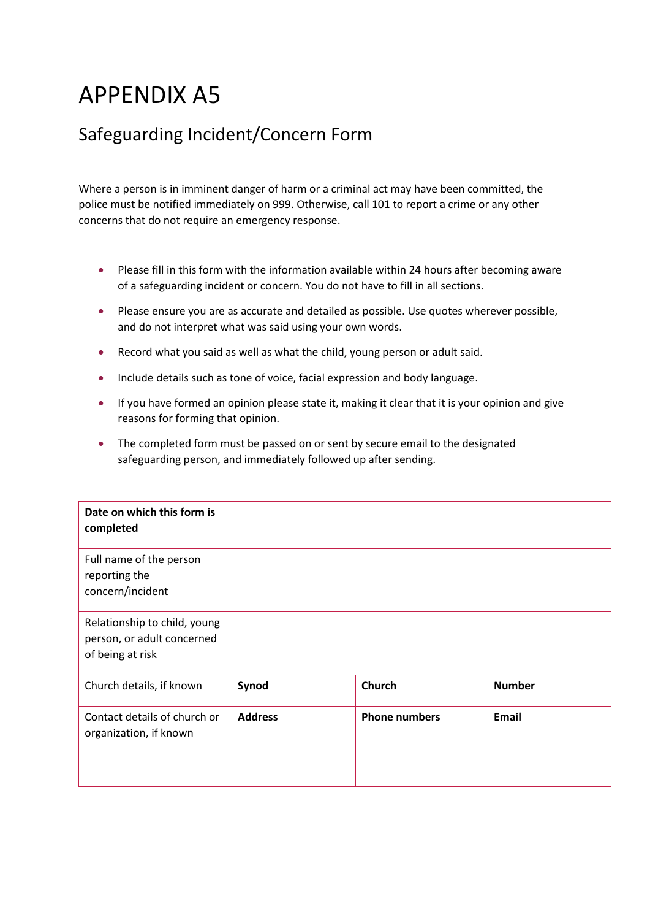# APPENDIX A5

## Safeguarding Incident/Concern Form

Where a person is in imminent danger of harm or a criminal act may have been committed, the police must be notified immediately on 999. Otherwise, call 101 to report a crime or any other concerns that do not require an emergency response.

- Please fill in this form with the information available within 24 hours after becoming aware of a safeguarding incident or concern. You do not have to fill in all sections.
- Please ensure you are as accurate and detailed as possible. Use quotes wherever possible, and do not interpret what was said using your own words.
- Record what you said as well as what the child, young person or adult said.
- Include details such as tone of voice, facial expression and body language.
- If you have formed an opinion please state it, making it clear that it is your opinion and give reasons for forming that opinion.
- The completed form must be passed on or sent by secure email to the designated safeguarding person, and immediately followed up after sending.

| Date on which this form is<br>completed                                        |                |                      |               |
|--------------------------------------------------------------------------------|----------------|----------------------|---------------|
| Full name of the person<br>reporting the<br>concern/incident                   |                |                      |               |
| Relationship to child, young<br>person, or adult concerned<br>of being at risk |                |                      |               |
| Church details, if known                                                       | Synod          | <b>Church</b>        | <b>Number</b> |
| Contact details of church or<br>organization, if known                         | <b>Address</b> | <b>Phone numbers</b> | <b>Email</b>  |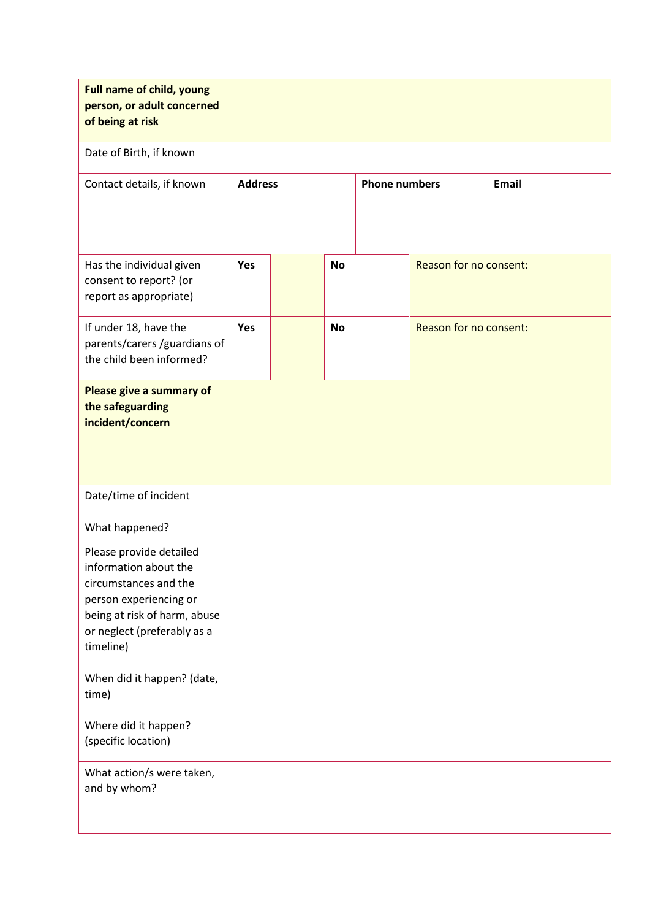| <b>Full name of child, young</b><br>person, or adult concerned<br>of being at risk                                                                                              |                |  |           |                      |                        |              |
|---------------------------------------------------------------------------------------------------------------------------------------------------------------------------------|----------------|--|-----------|----------------------|------------------------|--------------|
| Date of Birth, if known                                                                                                                                                         |                |  |           |                      |                        |              |
| Contact details, if known                                                                                                                                                       | <b>Address</b> |  |           | <b>Phone numbers</b> |                        | <b>Email</b> |
| Has the individual given<br>consent to report? (or<br>report as appropriate)                                                                                                    | Yes            |  | <b>No</b> |                      | Reason for no consent: |              |
| If under 18, have the<br>parents/carers/guardians of<br>the child been informed?                                                                                                | Yes            |  | <b>No</b> |                      | Reason for no consent: |              |
| Please give a summary of<br>the safeguarding<br>incident/concern                                                                                                                |                |  |           |                      |                        |              |
| Date/time of incident                                                                                                                                                           |                |  |           |                      |                        |              |
| What happened?                                                                                                                                                                  |                |  |           |                      |                        |              |
| Please provide detailed<br>information about the<br>circumstances and the<br>person experiencing or<br>being at risk of harm, abuse<br>or neglect (preferably as a<br>timeline) |                |  |           |                      |                        |              |
| When did it happen? (date,<br>time)                                                                                                                                             |                |  |           |                      |                        |              |
| Where did it happen?<br>(specific location)                                                                                                                                     |                |  |           |                      |                        |              |
| What action/s were taken,<br>and by whom?                                                                                                                                       |                |  |           |                      |                        |              |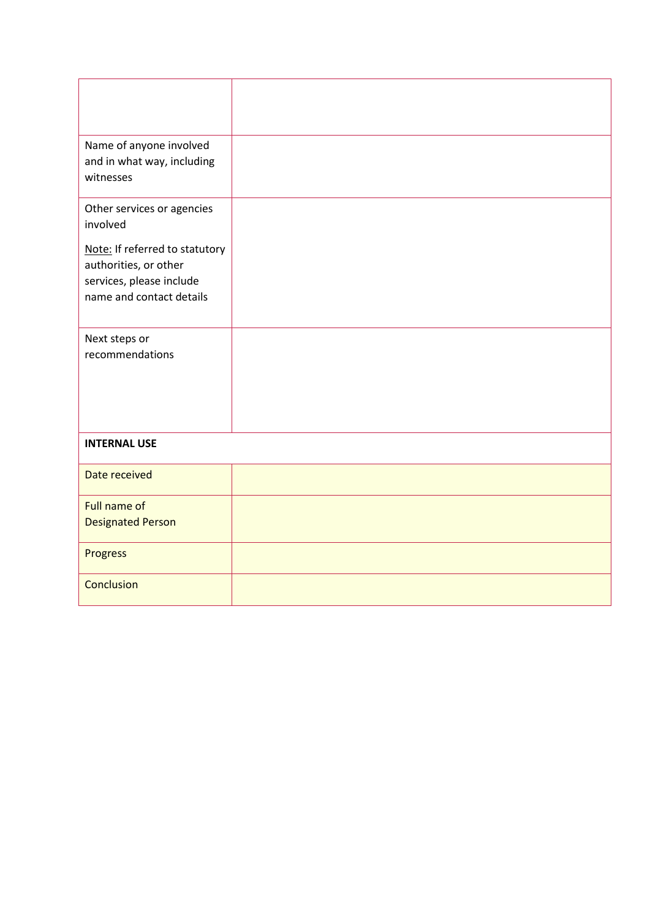| Name of anyone involved                 |  |
|-----------------------------------------|--|
| and in what way, including<br>witnesses |  |
|                                         |  |
| Other services or agencies<br>involved  |  |
| Note: If referred to statutory          |  |
| authorities, or other                   |  |
| services, please include                |  |
| name and contact details                |  |
|                                         |  |
| Next steps or<br>recommendations        |  |
|                                         |  |
|                                         |  |
|                                         |  |
|                                         |  |
| <b>INTERNAL USE</b>                     |  |
| Date received                           |  |
| Full name of                            |  |
| <b>Designated Person</b>                |  |
| Progress                                |  |
| Conclusion                              |  |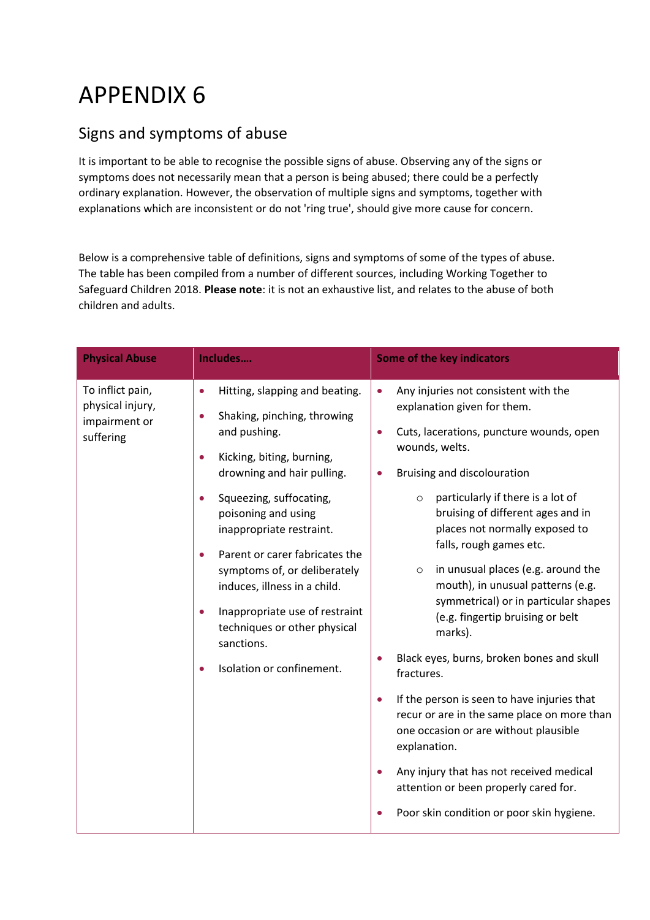# APPENDIX 6

### Signs and symptoms of abuse

It is important to be able to recognise the possible signs of abuse. Observing any of the signs or symptoms does not necessarily mean that a person is being abused; there could be a perfectly ordinary explanation. However, the observation of multiple signs and symptoms, together with explanations which are inconsistent or do not 'ring true', should give more cause for concern.

Below is a comprehensive table of definitions, signs and symptoms of some of the types of abuse. The table has been compiled from a number of different sources, including Working Together to Safeguard Children 2018. **Please note**: it is not an exhaustive list, and relates to the abuse of both children and adults.

| <b>Physical Abuse</b>                                              | Includes                                                                                                                                                                                                                                                                                                                                                                                                                                                                                                                         | <b>Some of the key indicators</b>                                                                                                                                                                                                                                                                                                                                                                                                                                                                                                                                                                                                                                                                                                                                                                                                                                                                                    |
|--------------------------------------------------------------------|----------------------------------------------------------------------------------------------------------------------------------------------------------------------------------------------------------------------------------------------------------------------------------------------------------------------------------------------------------------------------------------------------------------------------------------------------------------------------------------------------------------------------------|----------------------------------------------------------------------------------------------------------------------------------------------------------------------------------------------------------------------------------------------------------------------------------------------------------------------------------------------------------------------------------------------------------------------------------------------------------------------------------------------------------------------------------------------------------------------------------------------------------------------------------------------------------------------------------------------------------------------------------------------------------------------------------------------------------------------------------------------------------------------------------------------------------------------|
| To inflict pain,<br>physical injury,<br>impairment or<br>suffering | Hitting, slapping and beating.<br>$\bullet$<br>Shaking, pinching, throwing<br>$\bullet$<br>and pushing.<br>Kicking, biting, burning,<br>$\bullet$<br>drowning and hair pulling.<br>Squeezing, suffocating,<br>$\bullet$<br>poisoning and using<br>inappropriate restraint.<br>Parent or carer fabricates the<br>$\bullet$<br>symptoms of, or deliberately<br>induces, illness in a child.<br>Inappropriate use of restraint<br>$\bullet$<br>techniques or other physical<br>sanctions.<br>Isolation or confinement.<br>$\bullet$ | Any injuries not consistent with the<br>$\bullet$<br>explanation given for them.<br>Cuts, lacerations, puncture wounds, open<br>$\bullet$<br>wounds, welts.<br>Bruising and discolouration<br>$\bullet$<br>particularly if there is a lot of<br>$\circ$<br>bruising of different ages and in<br>places not normally exposed to<br>falls, rough games etc.<br>in unusual places (e.g. around the<br>$\circ$<br>mouth), in unusual patterns (e.g.<br>symmetrical) or in particular shapes<br>(e.g. fingertip bruising or belt<br>marks).<br>Black eyes, burns, broken bones and skull<br>fractures.<br>If the person is seen to have injuries that<br>$\bullet$<br>recur or are in the same place on more than<br>one occasion or are without plausible<br>explanation.<br>Any injury that has not received medical<br>$\bullet$<br>attention or been properly cared for.<br>Poor skin condition or poor skin hygiene. |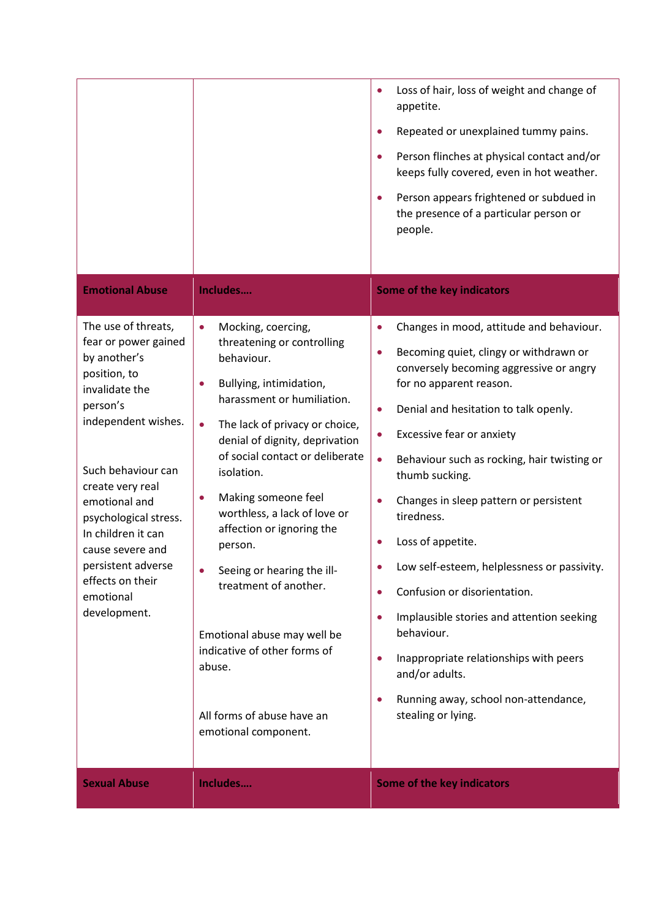|                                                                                                                                                                                                                                                                                                                                       |                                                                                                                                                                                                                                                                                                                                                                                                                                                                                                                                                             | Loss of hair, loss of weight and change of<br>appetite.<br>Repeated or unexplained tummy pains.<br>$\bullet$<br>Person flinches at physical contact and/or<br>$\bullet$<br>keeps fully covered, even in hot weather.<br>Person appears frightened or subdued in<br>$\bullet$<br>the presence of a particular person or<br>people.                                                                                                                                                                                                                                                                                                                                                                                                                                                               |
|---------------------------------------------------------------------------------------------------------------------------------------------------------------------------------------------------------------------------------------------------------------------------------------------------------------------------------------|-------------------------------------------------------------------------------------------------------------------------------------------------------------------------------------------------------------------------------------------------------------------------------------------------------------------------------------------------------------------------------------------------------------------------------------------------------------------------------------------------------------------------------------------------------------|-------------------------------------------------------------------------------------------------------------------------------------------------------------------------------------------------------------------------------------------------------------------------------------------------------------------------------------------------------------------------------------------------------------------------------------------------------------------------------------------------------------------------------------------------------------------------------------------------------------------------------------------------------------------------------------------------------------------------------------------------------------------------------------------------|
| <b>Emotional Abuse</b>                                                                                                                                                                                                                                                                                                                | Includes                                                                                                                                                                                                                                                                                                                                                                                                                                                                                                                                                    | Some of the key indicators                                                                                                                                                                                                                                                                                                                                                                                                                                                                                                                                                                                                                                                                                                                                                                      |
| The use of threats,<br>fear or power gained<br>by another's<br>position, to<br>invalidate the<br>person's<br>independent wishes.<br>Such behaviour can<br>create very real<br>emotional and<br>psychological stress.<br>In children it can<br>cause severe and<br>persistent adverse<br>effects on their<br>emotional<br>development. | Mocking, coercing,<br>$\bullet$<br>threatening or controlling<br>behaviour.<br>Bullying, intimidation,<br>harassment or humiliation.<br>The lack of privacy or choice,<br>$\bullet$<br>denial of dignity, deprivation<br>of social contact or deliberate<br>isolation.<br>Making someone feel<br>worthless, a lack of love or<br>affection or ignoring the<br>person.<br>Seeing or hearing the ill-<br>treatment of another.<br>Emotional abuse may well be<br>indicative of other forms of<br>abuse.<br>All forms of abuse have an<br>emotional component. | Changes in mood, attitude and behaviour.<br>$\bullet$<br>Becoming quiet, clingy or withdrawn or<br>$\bullet$<br>conversely becoming aggressive or angry<br>for no apparent reason.<br>Denial and hesitation to talk openly.<br>$\bullet$<br>Excessive fear or anxiety<br>$\bullet$<br>Behaviour such as rocking, hair twisting or<br>$\bullet$<br>thumb sucking.<br>Changes in sleep pattern or persistent<br>$\bullet$<br>tiredness.<br>Loss of appetite.<br>$\bullet$<br>Low self-esteem, helplessness or passivity.<br>Confusion or disorientation.<br>$\bullet$<br>Implausible stories and attention seeking<br>$\bullet$<br>behaviour.<br>Inappropriate relationships with peers<br>$\bullet$<br>and/or adults.<br>Running away, school non-attendance,<br>$\bullet$<br>stealing or lying. |
| <b>Sexual Abuse</b>                                                                                                                                                                                                                                                                                                                   | Includes                                                                                                                                                                                                                                                                                                                                                                                                                                                                                                                                                    | Some of the key indicators                                                                                                                                                                                                                                                                                                                                                                                                                                                                                                                                                                                                                                                                                                                                                                      |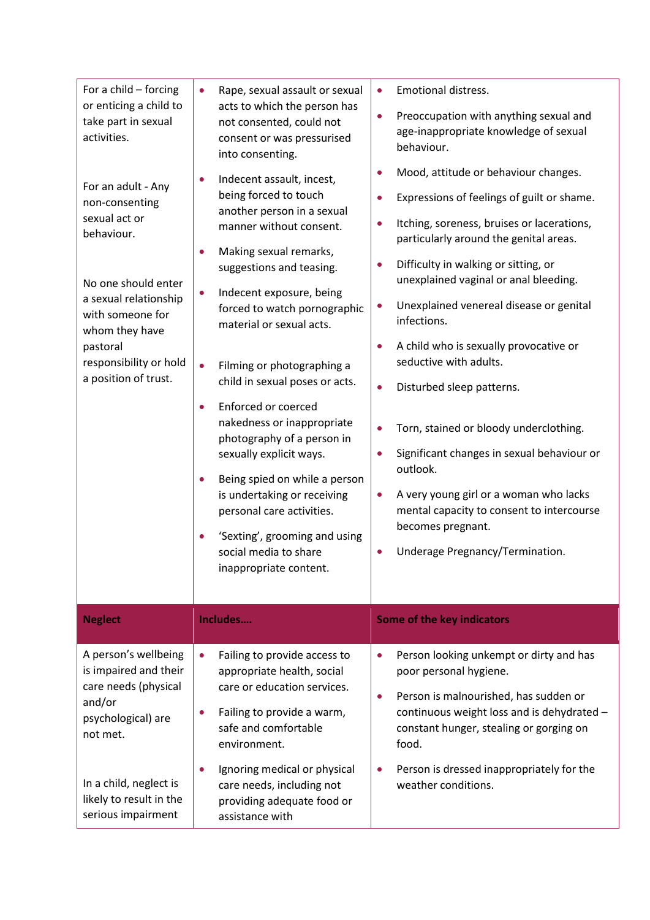| For a child - forcing<br>or enticing a child to<br>take part in sexual<br>activities.<br>For an adult - Any<br>non-consenting<br>sexual act or<br>behaviour.<br>No one should enter<br>a sexual relationship<br>with someone for<br>whom they have<br>pastoral<br>responsibility or hold<br>a position of trust. | Rape, sexual assault or sexual<br>$\bullet$<br>acts to which the person has<br>not consented, could not<br>consent or was pressurised<br>into consenting.<br>Indecent assault, incest,<br>$\bullet$<br>being forced to touch<br>another person in a sexual<br>manner without consent.<br>Making sexual remarks,<br>$\bullet$<br>suggestions and teasing.<br>Indecent exposure, being<br>$\bullet$<br>forced to watch pornographic<br>material or sexual acts.<br>Filming or photographing a<br>$\bullet$<br>child in sexual poses or acts.<br>Enforced or coerced<br>$\bullet$<br>nakedness or inappropriate<br>photography of a person in<br>sexually explicit ways.<br>Being spied on while a person<br>$\bullet$<br>is undertaking or receiving<br>personal care activities.<br>'Sexting', grooming and using<br>$\bullet$<br>social media to share<br>inappropriate content. | <b>Emotional distress.</b><br>$\bullet$<br>Preoccupation with anything sexual and<br>$\bullet$<br>age-inappropriate knowledge of sexual<br>behaviour.<br>Mood, attitude or behaviour changes.<br>$\bullet$<br>Expressions of feelings of guilt or shame.<br>$\bullet$<br>Itching, soreness, bruises or lacerations,<br>$\bullet$<br>particularly around the genital areas.<br>Difficulty in walking or sitting, or<br>$\bullet$<br>unexplained vaginal or anal bleeding.<br>Unexplained venereal disease or genital<br>$\bullet$<br>infections.<br>A child who is sexually provocative or<br>$\bullet$<br>seductive with adults.<br>Disturbed sleep patterns.<br>$\bullet$<br>Torn, stained or bloody underclothing.<br>$\bullet$<br>Significant changes in sexual behaviour or<br>$\bullet$<br>outlook.<br>A very young girl or a woman who lacks<br>$\bullet$<br>mental capacity to consent to intercourse<br>becomes pregnant.<br>Underage Pregnancy/Termination.<br>$\bullet$ |
|------------------------------------------------------------------------------------------------------------------------------------------------------------------------------------------------------------------------------------------------------------------------------------------------------------------|----------------------------------------------------------------------------------------------------------------------------------------------------------------------------------------------------------------------------------------------------------------------------------------------------------------------------------------------------------------------------------------------------------------------------------------------------------------------------------------------------------------------------------------------------------------------------------------------------------------------------------------------------------------------------------------------------------------------------------------------------------------------------------------------------------------------------------------------------------------------------------|-----------------------------------------------------------------------------------------------------------------------------------------------------------------------------------------------------------------------------------------------------------------------------------------------------------------------------------------------------------------------------------------------------------------------------------------------------------------------------------------------------------------------------------------------------------------------------------------------------------------------------------------------------------------------------------------------------------------------------------------------------------------------------------------------------------------------------------------------------------------------------------------------------------------------------------------------------------------------------------|
| <b>Neglect</b>                                                                                                                                                                                                                                                                                                   | Includes                                                                                                                                                                                                                                                                                                                                                                                                                                                                                                                                                                                                                                                                                                                                                                                                                                                                         | <b>Some of the key indicators</b>                                                                                                                                                                                                                                                                                                                                                                                                                                                                                                                                                                                                                                                                                                                                                                                                                                                                                                                                                 |
| A person's wellbeing<br>is impaired and their<br>care needs (physical<br>and/or<br>psychological) are<br>not met.<br>In a child, neglect is                                                                                                                                                                      | Failing to provide access to<br>$\bullet$<br>appropriate health, social<br>care or education services.<br>Failing to provide a warm,<br>$\bullet$<br>safe and comfortable<br>environment.<br>Ignoring medical or physical<br>$\bullet$                                                                                                                                                                                                                                                                                                                                                                                                                                                                                                                                                                                                                                           | Person looking unkempt or dirty and has<br>$\bullet$<br>poor personal hygiene.<br>Person is malnourished, has sudden or<br>$\bullet$<br>continuous weight loss and is dehydrated -<br>constant hunger, stealing or gorging on<br>food.<br>Person is dressed inappropriately for the<br>$\bullet$                                                                                                                                                                                                                                                                                                                                                                                                                                                                                                                                                                                                                                                                                  |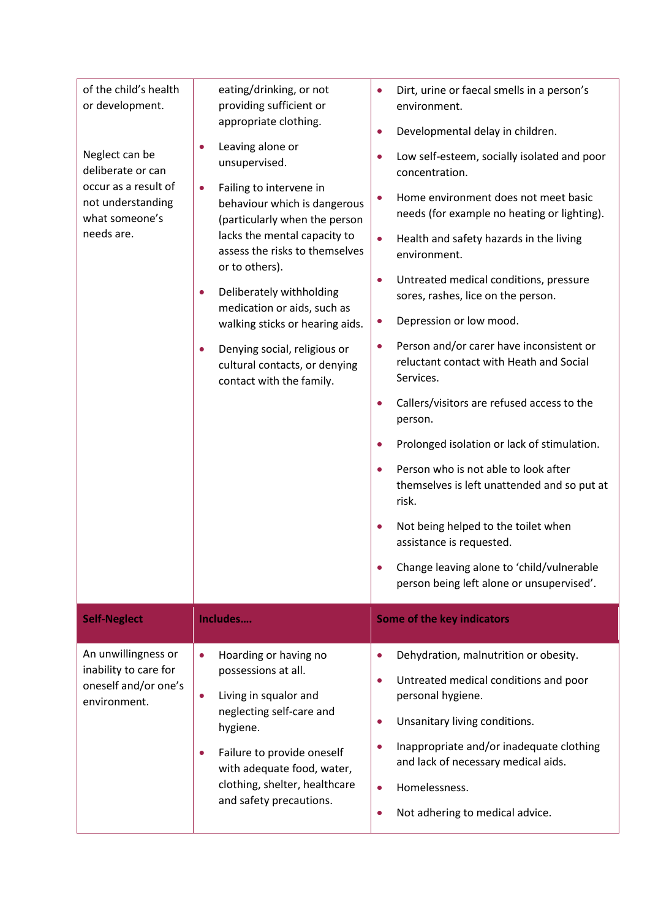| of the child's health<br>or development.<br>Neglect can be<br>deliberate or can<br>occur as a result of<br>not understanding<br>what someone's<br>needs are. | eating/drinking, or not<br>providing sufficient or<br>appropriate clothing.<br>Leaving alone or<br>$\bullet$<br>unsupervised.<br>Failing to intervene in<br>$\bullet$<br>behaviour which is dangerous<br>(particularly when the person<br>lacks the mental capacity to<br>assess the risks to themselves<br>or to others).<br>Deliberately withholding<br>$\bullet$<br>medication or aids, such as<br>walking sticks or hearing aids.<br>Denying social, religious or<br>$\bullet$<br>cultural contacts, or denying<br>contact with the family. | Dirt, urine or faecal smells in a person's<br>$\bullet$<br>environment.<br>Developmental delay in children.<br>$\bullet$<br>Low self-esteem, socially isolated and poor<br>$\bullet$<br>concentration.<br>Home environment does not meet basic<br>$\bullet$<br>needs (for example no heating or lighting).<br>$\bullet$<br>Health and safety hazards in the living<br>environment.<br>Untreated medical conditions, pressure<br>$\bullet$<br>sores, rashes, lice on the person.<br>Depression or low mood.<br>$\bullet$<br>Person and/or carer have inconsistent or<br>$\bullet$<br>reluctant contact with Heath and Social<br>Services.<br>Callers/visitors are refused access to the<br>$\bullet$<br>person.<br>Prolonged isolation or lack of stimulation.<br>$\bullet$<br>Person who is not able to look after<br>$\bullet$<br>themselves is left unattended and so put at<br>risk.<br>Not being helped to the toilet when<br>$\bullet$<br>assistance is requested.<br>Change leaving alone to 'child/vulnerable<br>person being left alone or unsupervised'. |
|--------------------------------------------------------------------------------------------------------------------------------------------------------------|-------------------------------------------------------------------------------------------------------------------------------------------------------------------------------------------------------------------------------------------------------------------------------------------------------------------------------------------------------------------------------------------------------------------------------------------------------------------------------------------------------------------------------------------------|-------------------------------------------------------------------------------------------------------------------------------------------------------------------------------------------------------------------------------------------------------------------------------------------------------------------------------------------------------------------------------------------------------------------------------------------------------------------------------------------------------------------------------------------------------------------------------------------------------------------------------------------------------------------------------------------------------------------------------------------------------------------------------------------------------------------------------------------------------------------------------------------------------------------------------------------------------------------------------------------------------------------------------------------------------------------|
| <b>Self-Neglect</b>                                                                                                                                          | Includes                                                                                                                                                                                                                                                                                                                                                                                                                                                                                                                                        | <b>Some of the key indicators</b>                                                                                                                                                                                                                                                                                                                                                                                                                                                                                                                                                                                                                                                                                                                                                                                                                                                                                                                                                                                                                                 |
| An unwillingness or<br>inability to care for<br>oneself and/or one's<br>environment.                                                                         | Hoarding or having no<br>$\bullet$<br>possessions at all.<br>Living in squalor and<br>$\bullet$<br>neglecting self-care and<br>hygiene.<br>Failure to provide oneself<br>$\bullet$<br>with adequate food, water,<br>clothing, shelter, healthcare<br>and safety precautions.                                                                                                                                                                                                                                                                    | Dehydration, malnutrition or obesity.<br>$\bullet$<br>Untreated medical conditions and poor<br>$\bullet$<br>personal hygiene.<br>Unsanitary living conditions.<br>$\bullet$<br>Inappropriate and/or inadequate clothing<br>$\bullet$<br>and lack of necessary medical aids.<br>Homelessness.<br>$\bullet$<br>Not adhering to medical advice.<br>$\bullet$                                                                                                                                                                                                                                                                                                                                                                                                                                                                                                                                                                                                                                                                                                         |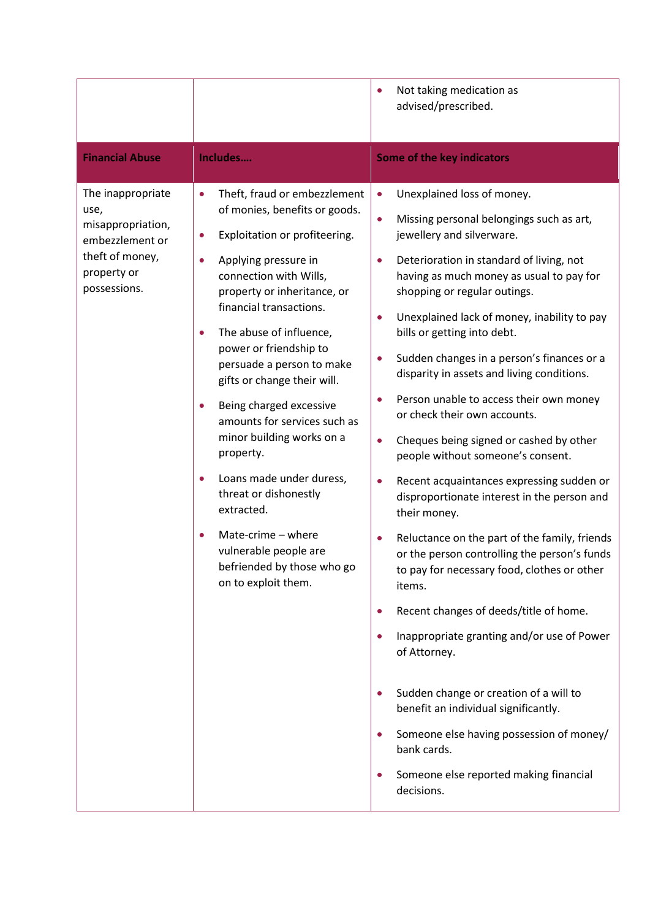|                                                                                                                     |                                                                                                                                                                                                                                                                                                                                                                                                                                                                                                                                                                                                                                                                          | Not taking medication as<br>advised/prescribed.                                                                                                                                                                                                                                                                                                                                                                                                                                                                                                                                                                                                                                                                                                                                                                                                                                                                                                                                                                                                                                                                                                                                                                                   |
|---------------------------------------------------------------------------------------------------------------------|--------------------------------------------------------------------------------------------------------------------------------------------------------------------------------------------------------------------------------------------------------------------------------------------------------------------------------------------------------------------------------------------------------------------------------------------------------------------------------------------------------------------------------------------------------------------------------------------------------------------------------------------------------------------------|-----------------------------------------------------------------------------------------------------------------------------------------------------------------------------------------------------------------------------------------------------------------------------------------------------------------------------------------------------------------------------------------------------------------------------------------------------------------------------------------------------------------------------------------------------------------------------------------------------------------------------------------------------------------------------------------------------------------------------------------------------------------------------------------------------------------------------------------------------------------------------------------------------------------------------------------------------------------------------------------------------------------------------------------------------------------------------------------------------------------------------------------------------------------------------------------------------------------------------------|
| <b>Financial Abuse</b>                                                                                              | Includes                                                                                                                                                                                                                                                                                                                                                                                                                                                                                                                                                                                                                                                                 | Some of the key indicators                                                                                                                                                                                                                                                                                                                                                                                                                                                                                                                                                                                                                                                                                                                                                                                                                                                                                                                                                                                                                                                                                                                                                                                                        |
| The inappropriate<br>use,<br>misappropriation,<br>embezzlement or<br>theft of money,<br>property or<br>possessions. | Theft, fraud or embezzlement<br>$\bullet$<br>of monies, benefits or goods.<br>Exploitation or profiteering.<br>Applying pressure in<br>connection with Wills,<br>property or inheritance, or<br>financial transactions.<br>The abuse of influence,<br>$\bullet$<br>power or friendship to<br>persuade a person to make<br>gifts or change their will.<br>Being charged excessive<br>$\bullet$<br>amounts for services such as<br>minor building works on a<br>property.<br>Loans made under duress,<br>$\bullet$<br>threat or dishonestly<br>extracted.<br>Mate-crime - where<br>$\bullet$<br>vulnerable people are<br>befriended by those who go<br>on to exploit them. | Unexplained loss of money.<br>$\bullet$<br>Missing personal belongings such as art,<br>$\bullet$<br>jewellery and silverware.<br>Deterioration in standard of living, not<br>$\bullet$<br>having as much money as usual to pay for<br>shopping or regular outings.<br>Unexplained lack of money, inability to pay<br>bills or getting into debt.<br>Sudden changes in a person's finances or a<br>$\bullet$<br>disparity in assets and living conditions.<br>Person unable to access their own money<br>or check their own accounts.<br>Cheques being signed or cashed by other<br>$\bullet$<br>people without someone's consent.<br>Recent acquaintances expressing sudden or<br>$\bullet$<br>disproportionate interest in the person and<br>their money.<br>Reluctance on the part of the family, friends<br>or the person controlling the person's funds<br>to pay for necessary food, clothes or other<br>items.<br>Recent changes of deeds/title of home.<br>Inappropriate granting and/or use of Power<br>of Attorney.<br>Sudden change or creation of a will to<br>benefit an individual significantly.<br>Someone else having possession of money/<br>bank cards.<br>Someone else reported making financial<br>decisions. |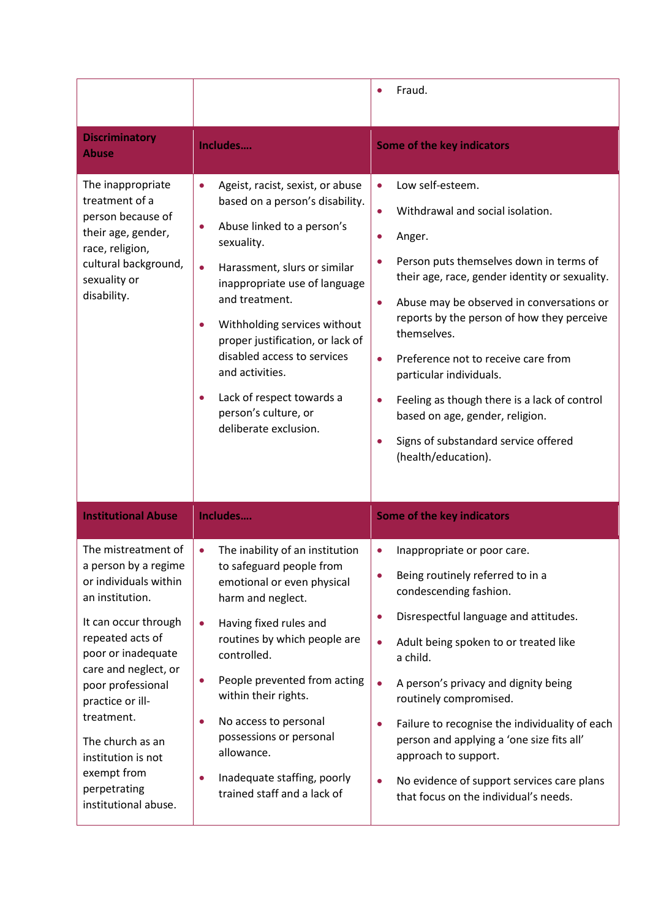|                                                                                                                                                                                                                                                                                    |                                                                                                                                                                                                                                                                                                                                                                                                                                                                 | Fraud.                                                                                                                                                                                                                                                                                                                                                                                                                                                                                                                                        |
|------------------------------------------------------------------------------------------------------------------------------------------------------------------------------------------------------------------------------------------------------------------------------------|-----------------------------------------------------------------------------------------------------------------------------------------------------------------------------------------------------------------------------------------------------------------------------------------------------------------------------------------------------------------------------------------------------------------------------------------------------------------|-----------------------------------------------------------------------------------------------------------------------------------------------------------------------------------------------------------------------------------------------------------------------------------------------------------------------------------------------------------------------------------------------------------------------------------------------------------------------------------------------------------------------------------------------|
| <b>Discriminatory</b><br><b>Abuse</b>                                                                                                                                                                                                                                              | Includes                                                                                                                                                                                                                                                                                                                                                                                                                                                        | Some of the key indicators                                                                                                                                                                                                                                                                                                                                                                                                                                                                                                                    |
| The inappropriate<br>treatment of a<br>person because of<br>their age, gender,<br>race, religion,<br>cultural background,<br>sexuality or<br>disability.                                                                                                                           | Ageist, racist, sexist, or abuse<br>$\bullet$<br>based on a person's disability.<br>Abuse linked to a person's<br>0<br>sexuality.<br>$\bullet$<br>Harassment, slurs or similar<br>inappropriate use of language<br>and treatment.<br>Withholding services without<br>$\bullet$<br>proper justification, or lack of<br>disabled access to services<br>and activities.<br>Lack of respect towards a<br>$\bullet$<br>person's culture, or<br>deliberate exclusion. | Low self-esteem.<br>$\bullet$<br>Withdrawal and social isolation.<br>Anger.<br>Person puts themselves down in terms of<br>their age, race, gender identity or sexuality.<br>Abuse may be observed in conversations or<br>$\bullet$<br>reports by the person of how they perceive<br>themselves.<br>Preference not to receive care from<br>$\bullet$<br>particular individuals.<br>Feeling as though there is a lack of control<br>based on age, gender, religion.<br>Signs of substandard service offered<br>$\bullet$<br>(health/education). |
| <b>Institutional Abuse</b>                                                                                                                                                                                                                                                         | Includes                                                                                                                                                                                                                                                                                                                                                                                                                                                        | <b>Some of the key indicators</b>                                                                                                                                                                                                                                                                                                                                                                                                                                                                                                             |
| The mistreatment of<br>a person by a regime<br>or individuals within<br>an institution.<br>It can occur through<br>repeated acts of<br>poor or inadequate<br>care and neglect, or<br>poor professional<br>practice or ill-<br>treatment.<br>The church as an<br>institution is not | The inability of an institution<br>$\bullet$<br>to safeguard people from<br>emotional or even physical<br>harm and neglect.<br>Having fixed rules and<br>$\bullet$<br>routines by which people are<br>controlled.<br>People prevented from acting<br>$\bullet$<br>within their rights.<br>No access to personal<br>$\bullet$<br>possessions or personal                                                                                                         | Inappropriate or poor care.<br>Being routinely referred to in a<br>condescending fashion.<br>Disrespectful language and attitudes.<br>$\bullet$<br>Adult being spoken to or treated like<br>$\bullet$<br>a child.<br>A person's privacy and dignity being<br>$\bullet$<br>routinely compromised.<br>Failure to recognise the individuality of each<br>$\bullet$<br>person and applying a 'one size fits all'                                                                                                                                  |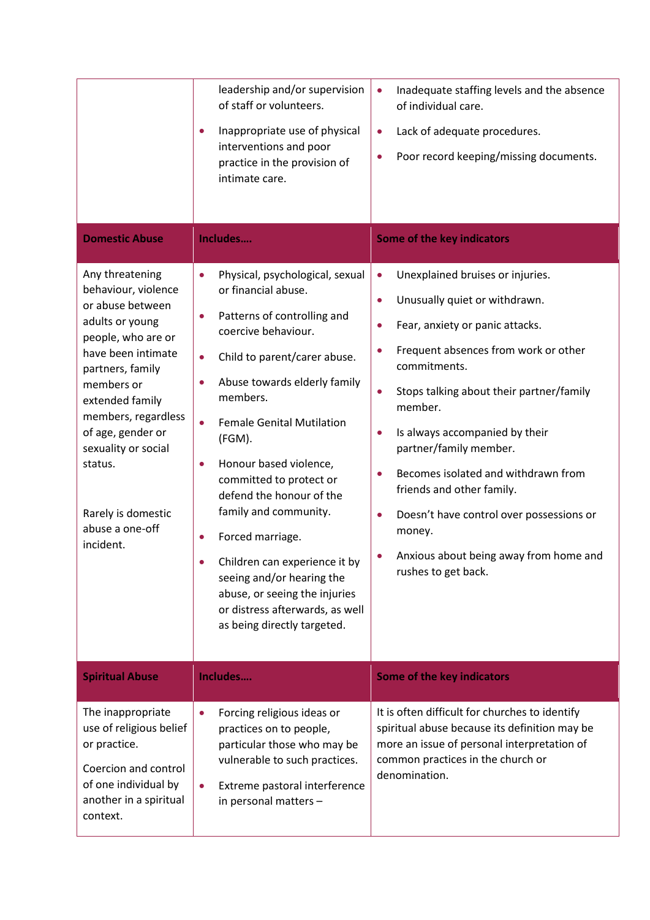| <b>Domestic Abuse</b>                                                                                                                                                                                                                                                                                              | leadership and/or supervision<br>of staff or volunteers.<br>Inappropriate use of physical<br>$\bullet$<br>interventions and poor<br>practice in the provision of<br>intimate care.<br>Includes                                                                                                                                                                                                                                                                                                                                                                                                         | Inadequate staffing levels and the absence<br>$\bullet$<br>of individual care.<br>Lack of adequate procedures.<br>$\bullet$<br>Poor record keeping/missing documents.<br>$\bullet$<br><b>Some of the key indicators</b>                                                                                                                                                                                                                                                                                                                                                            |
|--------------------------------------------------------------------------------------------------------------------------------------------------------------------------------------------------------------------------------------------------------------------------------------------------------------------|--------------------------------------------------------------------------------------------------------------------------------------------------------------------------------------------------------------------------------------------------------------------------------------------------------------------------------------------------------------------------------------------------------------------------------------------------------------------------------------------------------------------------------------------------------------------------------------------------------|------------------------------------------------------------------------------------------------------------------------------------------------------------------------------------------------------------------------------------------------------------------------------------------------------------------------------------------------------------------------------------------------------------------------------------------------------------------------------------------------------------------------------------------------------------------------------------|
| Any threatening<br>behaviour, violence<br>or abuse between<br>adults or young<br>people, who are or<br>have been intimate<br>partners, family<br>members or<br>extended family<br>members, regardless<br>of age, gender or<br>sexuality or social<br>status.<br>Rarely is domestic<br>abuse a one-off<br>incident. | Physical, psychological, sexual<br>$\bullet$<br>or financial abuse.<br>Patterns of controlling and<br>$\bullet$<br>coercive behaviour.<br>Child to parent/carer abuse.<br>$\bullet$<br>Abuse towards elderly family<br>$\bullet$<br>members.<br><b>Female Genital Mutilation</b><br>(FGM).<br>Honour based violence,<br>$\bullet$<br>committed to protect or<br>defend the honour of the<br>family and community.<br>Forced marriage.<br>Children can experience it by<br>seeing and/or hearing the<br>abuse, or seeing the injuries<br>or distress afterwards, as well<br>as being directly targeted. | Unexplained bruises or injuries.<br>$\bullet$<br>Unusually quiet or withdrawn.<br>$\bullet$<br>Fear, anxiety or panic attacks.<br>$\bullet$<br>Frequent absences from work or other<br>$\bullet$<br>commitments.<br>Stops talking about their partner/family<br>$\bullet$<br>member.<br>Is always accompanied by their<br>$\bullet$<br>partner/family member.<br>Becomes isolated and withdrawn from<br>$\bullet$<br>friends and other family.<br>Doesn't have control over possessions or<br>$\bullet$<br>money.<br>Anxious about being away from home and<br>rushes to get back. |
| <b>Spiritual Abuse</b>                                                                                                                                                                                                                                                                                             | Includes                                                                                                                                                                                                                                                                                                                                                                                                                                                                                                                                                                                               | <b>Some of the key indicators</b>                                                                                                                                                                                                                                                                                                                                                                                                                                                                                                                                                  |
| The inappropriate<br>use of religious belief<br>or practice.<br>Coercion and control<br>of one individual by<br>another in a spiritual<br>context.                                                                                                                                                                 | Forcing religious ideas or<br>$\bullet$<br>practices on to people,<br>particular those who may be<br>vulnerable to such practices.<br>Extreme pastoral interference<br>$\bullet$<br>in personal matters -                                                                                                                                                                                                                                                                                                                                                                                              | It is often difficult for churches to identify<br>spiritual abuse because its definition may be<br>more an issue of personal interpretation of<br>common practices in the church or<br>denomination.                                                                                                                                                                                                                                                                                                                                                                               |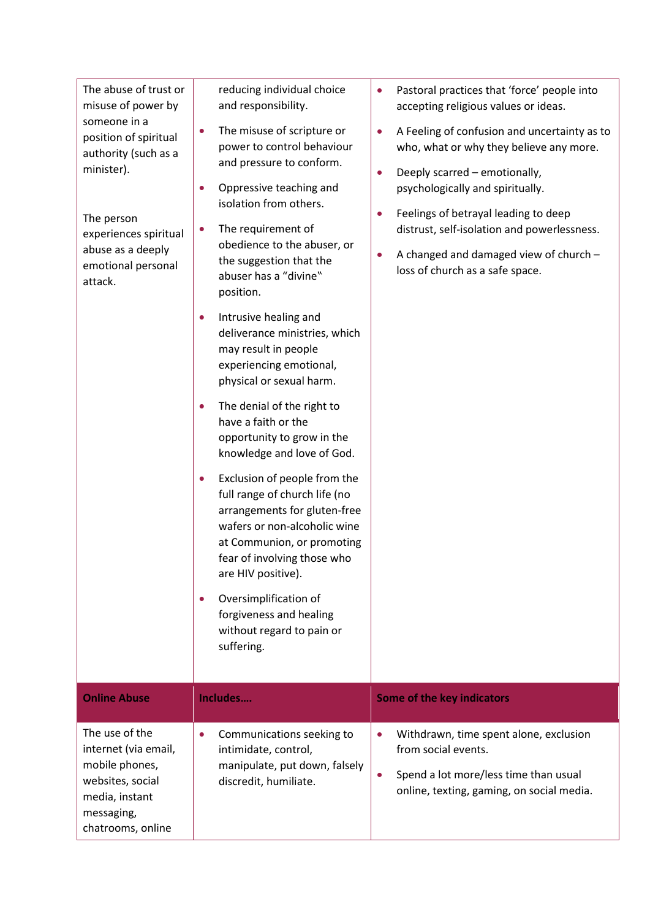| The abuse of trust or<br>misuse of power by<br>someone in a<br>position of spiritual<br>authority (such as a<br>minister).<br>The person<br>experiences spiritual<br>abuse as a deeply<br>emotional personal<br>attack. | reducing individual choice<br>and responsibility.<br>The misuse of scripture or<br>$\bullet$<br>power to control behaviour<br>and pressure to conform.<br>Oppressive teaching and<br>$\bullet$<br>isolation from others.<br>The requirement of<br>0<br>obedience to the abuser, or<br>the suggestion that the<br>abuser has a "divine"<br>position.<br>Intrusive healing and<br>$\bullet$<br>deliverance ministries, which<br>may result in people<br>experiencing emotional,<br>physical or sexual harm.<br>The denial of the right to<br>$\bullet$<br>have a faith or the<br>opportunity to grow in the<br>knowledge and love of God.<br>Exclusion of people from the<br>$\bullet$<br>full range of church life (no<br>arrangements for gluten-free<br>wafers or non-alcoholic wine<br>at Communion, or promoting<br>fear of involving those who<br>are HIV positive).<br>Oversimplification of<br>$\bullet$<br>forgiveness and healing<br>without regard to pain or<br>suffering. | Pastoral practices that 'force' people into<br>accepting religious values or ideas.<br>A Feeling of confusion and uncertainty as to<br>$\bullet$<br>who, what or why they believe any more.<br>Deeply scarred - emotionally,<br>$\bullet$<br>psychologically and spiritually.<br>Feelings of betrayal leading to deep<br>distrust, self-isolation and powerlessness.<br>A changed and damaged view of church -<br>$\bullet$<br>loss of church as a safe space. |
|-------------------------------------------------------------------------------------------------------------------------------------------------------------------------------------------------------------------------|--------------------------------------------------------------------------------------------------------------------------------------------------------------------------------------------------------------------------------------------------------------------------------------------------------------------------------------------------------------------------------------------------------------------------------------------------------------------------------------------------------------------------------------------------------------------------------------------------------------------------------------------------------------------------------------------------------------------------------------------------------------------------------------------------------------------------------------------------------------------------------------------------------------------------------------------------------------------------------------|----------------------------------------------------------------------------------------------------------------------------------------------------------------------------------------------------------------------------------------------------------------------------------------------------------------------------------------------------------------------------------------------------------------------------------------------------------------|
| <b>Online Abuse</b>                                                                                                                                                                                                     | Includes                                                                                                                                                                                                                                                                                                                                                                                                                                                                                                                                                                                                                                                                                                                                                                                                                                                                                                                                                                             | <b>Some of the key indicators</b>                                                                                                                                                                                                                                                                                                                                                                                                                              |
| The use of the<br>internet (via email,<br>mobile phones,<br>websites, social<br>media, instant<br>messaging,<br>chatrooms, online                                                                                       | Communications seeking to<br>$\bullet$<br>intimidate, control,<br>manipulate, put down, falsely<br>discredit, humiliate.                                                                                                                                                                                                                                                                                                                                                                                                                                                                                                                                                                                                                                                                                                                                                                                                                                                             | Withdrawn, time spent alone, exclusion<br>$\bullet$<br>from social events.<br>Spend a lot more/less time than usual<br>$\bullet$<br>online, texting, gaming, on social media.                                                                                                                                                                                                                                                                                  |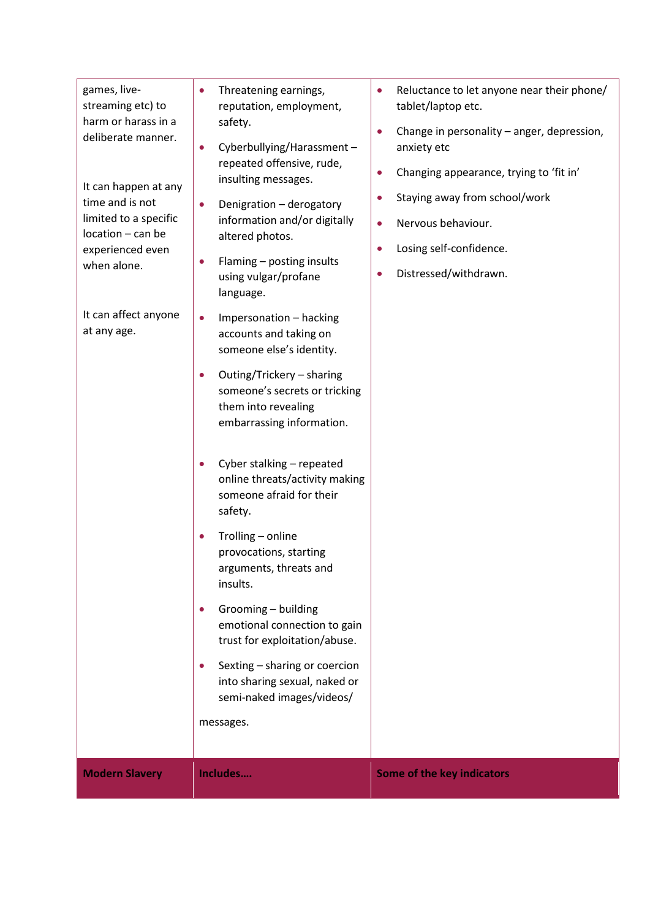| games, live-<br>streaming etc) to<br>harm or harass in a<br>deliberate manner.<br>It can happen at any<br>time and is not<br>limited to a specific<br>location - can be<br>experienced even<br>when alone.<br>It can affect anyone<br>at any age. | Threatening earnings,<br>$\bullet$<br>reputation, employment,<br>safety.<br>Cyberbullying/Harassment-<br>$\bullet$<br>repeated offensive, rude,<br>insulting messages.<br>Denigration - derogatory<br>$\bullet$<br>information and/or digitally<br>altered photos.<br>Flaming - posting insults<br>using vulgar/profane<br>language.<br>Impersonation - hacking<br>$\bullet$<br>accounts and taking on<br>someone else's identity.<br>Outing/Trickery - sharing<br>$\bullet$<br>someone's secrets or tricking<br>them into revealing<br>embarrassing information.<br>Cyber stalking - repeated<br>$\bullet$<br>online threats/activity making<br>someone afraid for their<br>safety.<br>Trolling - online<br>provocations, starting<br>arguments, threats and<br>insults.<br>Grooming - building<br>$\bullet$<br>emotional connection to gain<br>trust for exploitation/abuse.<br>Sexting - sharing or coercion<br>$\bullet$<br>into sharing sexual, naked or<br>semi-naked images/videos/ | Reluctance to let anyone near their phone/<br>$\bullet$<br>tablet/laptop etc.<br>Change in personality – anger, depression,<br>$\bullet$<br>anxiety etc<br>Changing appearance, trying to 'fit in'<br>$\bullet$<br>Staying away from school/work<br>$\bullet$<br>Nervous behaviour.<br>$\bullet$<br>Losing self-confidence.<br>$\bullet$<br>Distressed/withdrawn.<br>$\bullet$ |
|---------------------------------------------------------------------------------------------------------------------------------------------------------------------------------------------------------------------------------------------------|--------------------------------------------------------------------------------------------------------------------------------------------------------------------------------------------------------------------------------------------------------------------------------------------------------------------------------------------------------------------------------------------------------------------------------------------------------------------------------------------------------------------------------------------------------------------------------------------------------------------------------------------------------------------------------------------------------------------------------------------------------------------------------------------------------------------------------------------------------------------------------------------------------------------------------------------------------------------------------------------|--------------------------------------------------------------------------------------------------------------------------------------------------------------------------------------------------------------------------------------------------------------------------------------------------------------------------------------------------------------------------------|
|                                                                                                                                                                                                                                                   | messages.                                                                                                                                                                                                                                                                                                                                                                                                                                                                                                                                                                                                                                                                                                                                                                                                                                                                                                                                                                                  |                                                                                                                                                                                                                                                                                                                                                                                |
| <b>Modern Slavery</b>                                                                                                                                                                                                                             | Includes                                                                                                                                                                                                                                                                                                                                                                                                                                                                                                                                                                                                                                                                                                                                                                                                                                                                                                                                                                                   | <b>Some of the key indicators</b>                                                                                                                                                                                                                                                                                                                                              |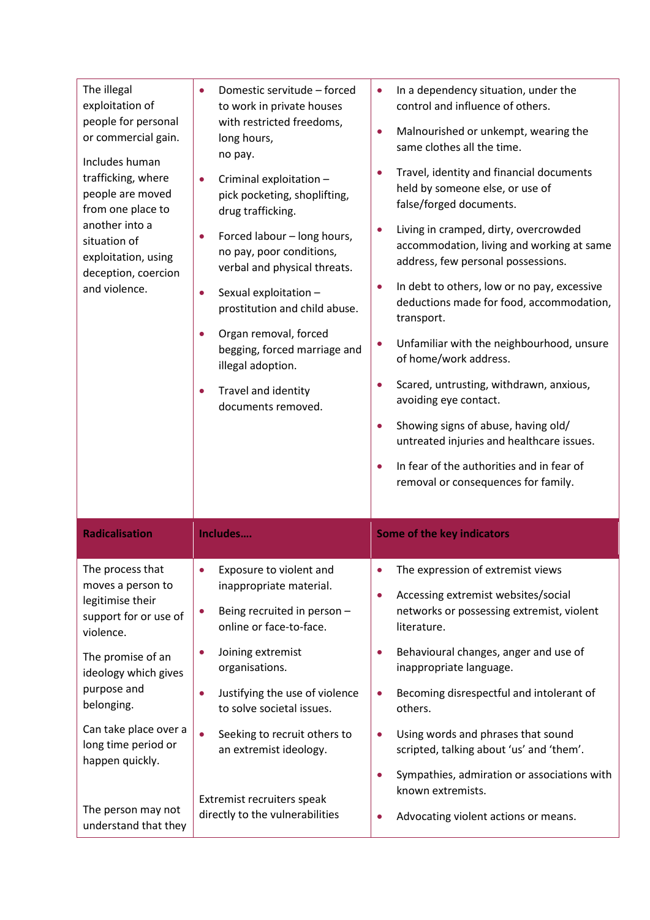| The illegal<br>exploitation of<br>people for personal<br>or commercial gain.<br>Includes human<br>trafficking, where<br>people are moved<br>from one place to<br>another into a<br>situation of<br>exploitation, using<br>deception, coercion<br>and violence. | Domestic servitude - forced<br>to work in private houses<br>with restricted freedoms,<br>long hours,<br>no pay.<br>Criminal exploitation -<br>$\bullet$<br>pick pocketing, shoplifting,<br>drug trafficking.<br>Forced labour - long hours,<br>$\bullet$<br>no pay, poor conditions,<br>verbal and physical threats.<br>Sexual exploitation -<br>$\bullet$<br>prostitution and child abuse.<br>Organ removal, forced<br>begging, forced marriage and<br>illegal adoption.<br>Travel and identity<br>documents removed. | In a dependency situation, under the<br>control and influence of others.<br>Malnourished or unkempt, wearing the<br>$\bullet$<br>same clothes all the time.<br>Travel, identity and financial documents<br>held by someone else, or use of<br>false/forged documents.<br>Living in cramped, dirty, overcrowded<br>accommodation, living and working at same<br>address, few personal possessions.<br>In debt to others, low or no pay, excessive<br>deductions made for food, accommodation,<br>transport.<br>Unfamiliar with the neighbourhood, unsure<br>of home/work address.<br>Scared, untrusting, withdrawn, anxious,<br>avoiding eye contact.<br>Showing signs of abuse, having old/<br>untreated injuries and healthcare issues.<br>In fear of the authorities and in fear of<br>removal or consequences for family. |
|----------------------------------------------------------------------------------------------------------------------------------------------------------------------------------------------------------------------------------------------------------------|------------------------------------------------------------------------------------------------------------------------------------------------------------------------------------------------------------------------------------------------------------------------------------------------------------------------------------------------------------------------------------------------------------------------------------------------------------------------------------------------------------------------|------------------------------------------------------------------------------------------------------------------------------------------------------------------------------------------------------------------------------------------------------------------------------------------------------------------------------------------------------------------------------------------------------------------------------------------------------------------------------------------------------------------------------------------------------------------------------------------------------------------------------------------------------------------------------------------------------------------------------------------------------------------------------------------------------------------------------|
| <b>Radicalisation</b>                                                                                                                                                                                                                                          | Includes                                                                                                                                                                                                                                                                                                                                                                                                                                                                                                               | Some of the key indicators                                                                                                                                                                                                                                                                                                                                                                                                                                                                                                                                                                                                                                                                                                                                                                                                   |
| The process that<br>moves a person to<br>legitimise their<br>support for or use of<br>violence.<br>The promise of an<br>ideology which gives<br>purpose and<br>belonging.<br>Can take place over a<br>long time period or<br>happen quickly.                   | Exposure to violent and<br>inappropriate material.<br>Being recruited in person -<br>$\bullet$<br>online or face-to-face.<br>Joining extremist<br>$\bullet$<br>organisations.<br>Justifying the use of violence<br>$\bullet$<br>to solve societal issues.<br>Seeking to recruit others to<br>$\bullet$<br>an extremist ideology.                                                                                                                                                                                       | The expression of extremist views<br>Accessing extremist websites/social<br>networks or possessing extremist, violent<br>literature.<br>Behavioural changes, anger and use of<br>inappropriate language.<br>Becoming disrespectful and intolerant of<br>others.<br>Using words and phrases that sound<br>$\bullet$<br>scripted, talking about 'us' and 'them'.<br>Sympathies, admiration or associations with                                                                                                                                                                                                                                                                                                                                                                                                                |
| The person may not<br>understand that they                                                                                                                                                                                                                     | Extremist recruiters speak<br>directly to the vulnerabilities                                                                                                                                                                                                                                                                                                                                                                                                                                                          | known extremists.<br>Advocating violent actions or means.                                                                                                                                                                                                                                                                                                                                                                                                                                                                                                                                                                                                                                                                                                                                                                    |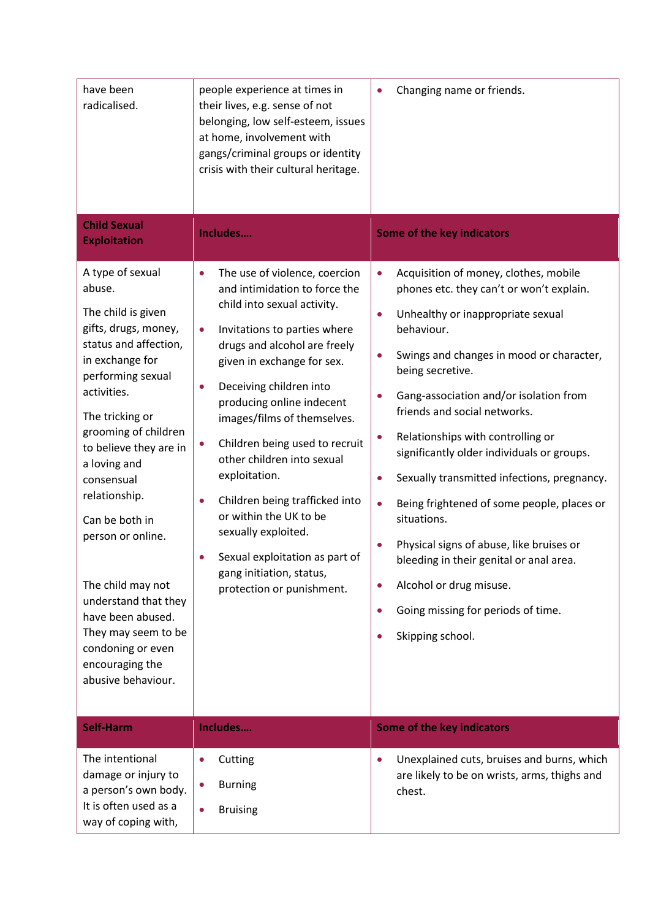| have been<br>radicalised.                                                                                                                                                                                                                                                                                                                                                                                                                                                  | people experience at times in<br>their lives, e.g. sense of not<br>belonging, low self-esteem, issues<br>at home, involvement with<br>gangs/criminal groups or identity<br>crisis with their cultural heritage.                                                                                                                                                                                                                                                                                                                                                                                            | Changing name or friends.                                                                                                                                                                                                                                                                                                                                                                                                                                                                                                                                                                                                                                                                                     |
|----------------------------------------------------------------------------------------------------------------------------------------------------------------------------------------------------------------------------------------------------------------------------------------------------------------------------------------------------------------------------------------------------------------------------------------------------------------------------|------------------------------------------------------------------------------------------------------------------------------------------------------------------------------------------------------------------------------------------------------------------------------------------------------------------------------------------------------------------------------------------------------------------------------------------------------------------------------------------------------------------------------------------------------------------------------------------------------------|---------------------------------------------------------------------------------------------------------------------------------------------------------------------------------------------------------------------------------------------------------------------------------------------------------------------------------------------------------------------------------------------------------------------------------------------------------------------------------------------------------------------------------------------------------------------------------------------------------------------------------------------------------------------------------------------------------------|
| <b>Child Sexual</b><br><b>Exploitation</b>                                                                                                                                                                                                                                                                                                                                                                                                                                 | Includes                                                                                                                                                                                                                                                                                                                                                                                                                                                                                                                                                                                                   | Some of the key indicators                                                                                                                                                                                                                                                                                                                                                                                                                                                                                                                                                                                                                                                                                    |
| A type of sexual<br>abuse.<br>The child is given<br>gifts, drugs, money,<br>status and affection,<br>in exchange for<br>performing sexual<br>activities.<br>The tricking or<br>grooming of children<br>to believe they are in<br>a loving and<br>consensual<br>relationship.<br>Can be both in<br>person or online.<br>The child may not<br>understand that they<br>have been abused.<br>They may seem to be<br>condoning or even<br>encouraging the<br>abusive behaviour. | The use of violence, coercion<br>$\bullet$<br>and intimidation to force the<br>child into sexual activity.<br>Invitations to parties where<br>$\bullet$<br>drugs and alcohol are freely<br>given in exchange for sex.<br>Deceiving children into<br>$\bullet$<br>producing online indecent<br>images/films of themselves.<br>Children being used to recruit<br>0<br>other children into sexual<br>exploitation.<br>Children being trafficked into<br>$\bullet$<br>or within the UK to be<br>sexually exploited.<br>Sexual exploitation as part of<br>gang initiation, status,<br>protection or punishment. | Acquisition of money, clothes, mobile<br>$\bullet$<br>phones etc. they can't or won't explain.<br>Unhealthy or inappropriate sexual<br>$\bullet$<br>behaviour.<br>Swings and changes in mood or character,<br>being secretive.<br>Gang-association and/or isolation from<br>friends and social networks.<br>Relationships with controlling or<br>$\bullet$<br>significantly older individuals or groups.<br>Sexually transmitted infections, pregnancy.<br>Being frightened of some people, places or<br>$\bullet$<br>situations.<br>Physical signs of abuse, like bruises or<br>bleeding in their genital or anal area.<br>Alcohol or drug misuse.<br>Going missing for periods of time.<br>Skipping school. |
| <b>Self-Harm</b>                                                                                                                                                                                                                                                                                                                                                                                                                                                           | Includes                                                                                                                                                                                                                                                                                                                                                                                                                                                                                                                                                                                                   | <b>Some of the key indicators</b>                                                                                                                                                                                                                                                                                                                                                                                                                                                                                                                                                                                                                                                                             |
| The intentional<br>damage or injury to<br>a person's own body.<br>It is often used as a<br>way of coping with,                                                                                                                                                                                                                                                                                                                                                             | Cutting<br>$\bullet$<br><b>Burning</b><br>$\bullet$<br><b>Bruising</b>                                                                                                                                                                                                                                                                                                                                                                                                                                                                                                                                     | Unexplained cuts, bruises and burns, which<br>$\bullet$<br>are likely to be on wrists, arms, thighs and<br>chest.                                                                                                                                                                                                                                                                                                                                                                                                                                                                                                                                                                                             |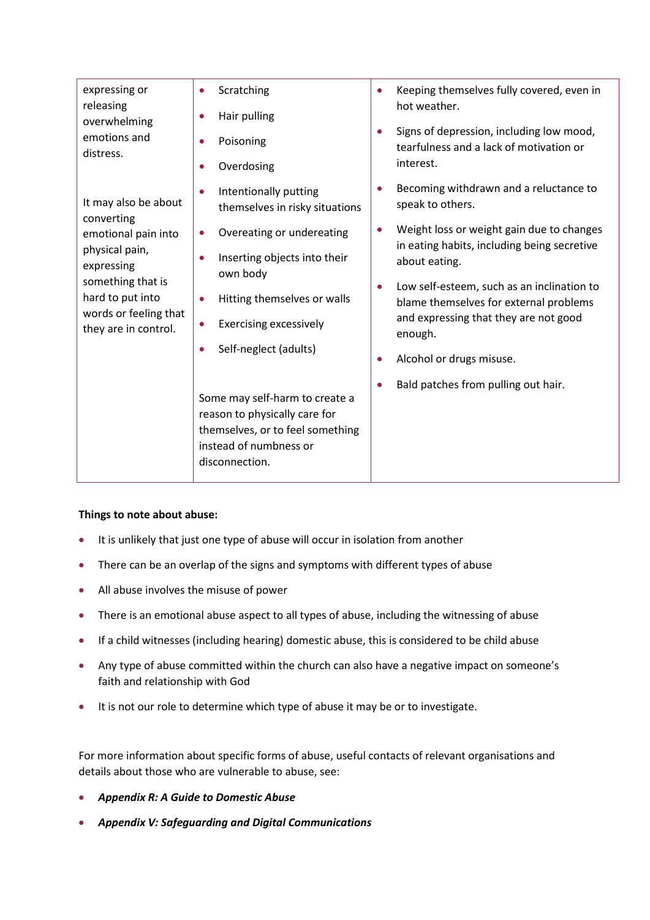| Keeping themselves fully covered, even in                                                                                     |                                           |
|-------------------------------------------------------------------------------------------------------------------------------|-------------------------------------------|
| hot weather.<br>Signs of depression, including low mood,<br>$\bullet$<br>tearfulness and a lack of motivation or<br>interest. |                                           |
|                                                                                                                               | Becoming withdrawn and a reluctance to    |
|                                                                                                                               | Weight loss or weight gain due to changes |
| in eating habits, including being secretive<br>about eating.                                                                  |                                           |
| Low self-esteem, such as an inclination to<br>blame themselves for external problems                                          |                                           |
| and expressing that they are not good<br>enough.                                                                              |                                           |
|                                                                                                                               |                                           |
|                                                                                                                               |                                           |
|                                                                                                                               |                                           |
|                                                                                                                               |                                           |
|                                                                                                                               |                                           |
|                                                                                                                               |                                           |

#### **Things to note about abuse:**

- It is unlikely that just one type of abuse will occur in isolation from another
- There can be an overlap of the signs and symptoms with different types of abuse
- All abuse involves the misuse of power
- There is an emotional abuse aspect to all types of abuse, including the witnessing of abuse
- If a child witnesses (including hearing) domestic abuse, this is considered to be child abuse
- Any type of abuse committed within the church can also have a negative impact on someone's faith and relationship with God
- It is not our role to determine which type of abuse it may be or to investigate.

For more information about specific forms of abuse, useful contacts of relevant organisations and details about those who are vulnerable to abuse, see:

- *Appendix R: A Guide to Domestic Abuse*
- *Appendix V: Safeguarding and Digital Communications*